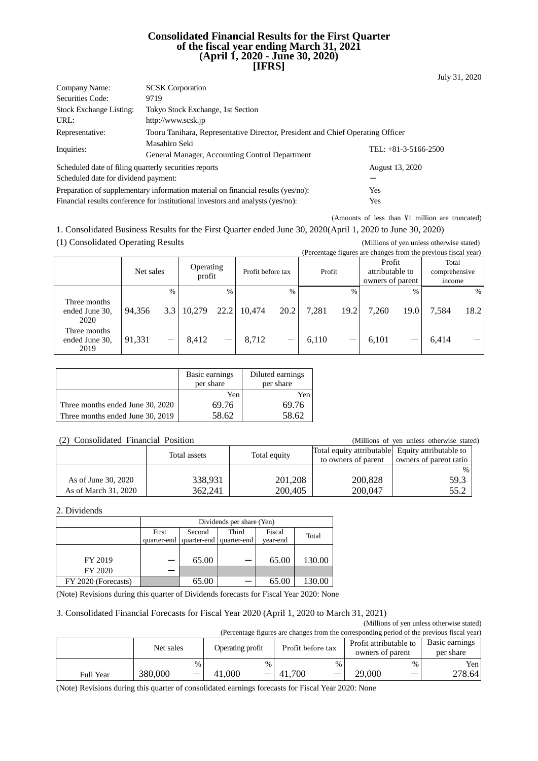#### **Consolidated Financial Results for the First Quarter of the fiscal year ending March 31, 2021 (April 1, 2020 - June 30, 2020) [IFRS]**

| Company Name:                                         | <b>SCSK</b> Corporation                                                          |                        |  |  |  |
|-------------------------------------------------------|----------------------------------------------------------------------------------|------------------------|--|--|--|
| Securities Code:                                      | 9719                                                                             |                        |  |  |  |
| <b>Stock Exchange Listing:</b>                        | Tokyo Stock Exchange, 1st Section                                                |                        |  |  |  |
| URL:                                                  | http://www.scsk.jp                                                               |                        |  |  |  |
| Representative:                                       | Tooru Tanihara, Representative Director, President and Chief Operating Officer   |                        |  |  |  |
|                                                       | Masahiro Seki                                                                    | TEL: $+81-3-5166-2500$ |  |  |  |
| Inquiries:                                            | General Manager, Accounting Control Department                                   |                        |  |  |  |
| Scheduled date of filing quarterly securities reports |                                                                                  | August 13, 2020        |  |  |  |
| Scheduled date for dividend payment:                  |                                                                                  |                        |  |  |  |
|                                                       | Preparation of supplementary information material on financial results (yes/no): | Yes                    |  |  |  |
|                                                       | Financial results conference for institutional investors and analysts (yes/no):  | Yes                    |  |  |  |

(Amounts of less than ¥1 million are truncated)

1. Consolidated Business Results for the First Quarter ended June 30, 2020(April 1, 2020 to June 30, 2020)

(1) Consolidated Operating Results (Millions of yen unless otherwise stated)

e changes from the previous fiscal ye

|                                        |           |                   |        |               |                     |      |                   |               |        |      | (Percentage rigures are changes from the previous riscal year) |               |                                  |  |
|----------------------------------------|-----------|-------------------|--------|---------------|---------------------|------|-------------------|---------------|--------|------|----------------------------------------------------------------|---------------|----------------------------------|--|
|                                        | Net sales |                   |        |               | Operating<br>profit |      | Profit before tax |               | Profit |      | Profit<br>attributable to<br>owners of parent                  |               | Total<br>comprehensive<br>income |  |
|                                        |           | $\frac{0}{0}$     |        | $\frac{0}{0}$ |                     | $\%$ |                   | $\frac{0}{0}$ |        | $\%$ |                                                                | $\frac{0}{6}$ |                                  |  |
| Three months<br>ended June 30.<br>2020 | 94,356    | 3.3               | 10,279 | 22.2          | 10,474              | 20.2 | 7,281             | 19.2          | 7,260  | 19.0 | 7,584                                                          | 18.2          |                                  |  |
| Three months<br>ended June 30,<br>2019 | 91,331    | $\hspace{0.05cm}$ | 8.412  |               | 8,712               |      | 6.110             |               | 6.101  |      | 6,414                                                          |               |                                  |  |

|                                  | Basic earnings<br>per share | Diluted earnings<br>per share |
|----------------------------------|-----------------------------|-------------------------------|
|                                  | Yen                         | Yen                           |
| Three months ended June 30, 2020 | 69.76                       | 69.76                         |
| Three months ended June 30, 2019 | 58.62                       | 58.62                         |

#### (2) Consolidated Financial Position (Millions of yen unless otherwise stated)

|                      | Total assets | Total equity | Total equity attributable Equity attributable to<br>to owners of parent | owners of parent ratio |
|----------------------|--------------|--------------|-------------------------------------------------------------------------|------------------------|
|                      |              |              |                                                                         | %                      |
| As of June 30, 2020  | 338,931      | 201,208      | 200,828                                                                 | 59.3                   |
| As of March 31, 2020 | 362.241      | 200,405      | 200,047                                                                 | 55.2                   |

#### 2. Dividends

|                     | Dividends per share (Yen) |                         |             |          |        |  |  |
|---------------------|---------------------------|-------------------------|-------------|----------|--------|--|--|
|                     | First                     | Second                  | Third       | Fiscal   | Total  |  |  |
|                     |                           | quarter-end quarter-end | quarter-end | year-end |        |  |  |
|                     |                           |                         |             |          |        |  |  |
| FY 2019             |                           | 65.00                   |             | 65.00    | 130.00 |  |  |
| FY 2020             |                           |                         |             |          |        |  |  |
| FY 2020 (Forecasts) |                           | 65.00                   |             | 65.00    |        |  |  |

(Note) Revisions during this quarter of Dividends forecasts for Fiscal Year 2020: None

#### 3. Consolidated Financial Forecasts for Fiscal Year 2020 (April 1, 2020 to March 31, 2021)

(Millions of yen unless otherwise stated) (Percentage figures are changes from the corresponding period of the previous fiscal year)

|                  | $\mu$ creening rights are enarges from the corresponding period or the previous fiscal year) |      |                  |      |                   |      |                        |               |                  |
|------------------|----------------------------------------------------------------------------------------------|------|------------------|------|-------------------|------|------------------------|---------------|------------------|
|                  | Net sales                                                                                    |      | Operating profit |      | Profit before tax |      | Profit attributable to |               | Basic earnings   |
|                  |                                                                                              |      |                  |      |                   |      | owners of parent       |               | per share        |
|                  |                                                                                              | $\%$ |                  | $\%$ |                   | $\%$ |                        | $\frac{0}{0}$ | Yen <sub>l</sub> |
| <b>Full Year</b> | 380,000                                                                                      | –    | 41,000           |      | 41,700            |      | 29,000                 |               | 278.64 l         |

(Note) Revisions during this quarter of consolidated earnings forecasts for Fiscal Year 2020: None

July 31, 2020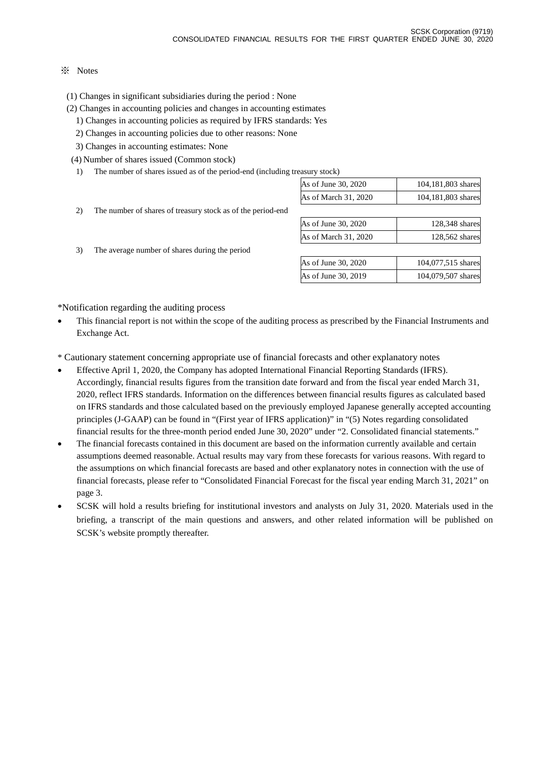### ※ Notes

(1) Changes in significant subsidiaries during the period : None

- (2) Changes in accounting policies and changes in accounting estimates
	- 1) Changes in accounting policies as required by IFRS standards: Yes
	- 2) Changes in accounting policies due to other reasons: None
	- 3) Changes in accounting estimates: None

(4) Number of shares issued (Common stock)

1) The number of shares issued as of the period-end (including treasury stock)

|    |                                                             | As of June 30, 2020  | 104,181,803 shares |
|----|-------------------------------------------------------------|----------------------|--------------------|
|    |                                                             | As of March 31, 2020 | 104,181,803 shares |
| 2) | The number of shares of treasury stock as of the period-end |                      |                    |
|    |                                                             | As of June 30, 2020  | 128,348 shares     |
|    |                                                             | As of March 31, 2020 | 128,562 shares     |
| 3) | The average number of shares during the period              |                      |                    |
|    |                                                             | As of June 30, 2020  | 104,077,515 shares |
|    |                                                             | As of June 30, 2019  | 104,079,507 shares |
|    |                                                             |                      |                    |

\*Notification regarding the auditing process

• This financial report is not within the scope of the auditing process as prescribed by the Financial Instruments and Exchange Act.

\* Cautionary statement concerning appropriate use of financial forecasts and other explanatory notes

- Effective April 1, 2020, the Company has adopted International Financial Reporting Standards (IFRS). Accordingly, financial results figures from the transition date forward and from the fiscal year ended March 31, 2020, reflect IFRS standards. Information on the differences between financial results figures as calculated based on IFRS standards and those calculated based on the previously employed Japanese generally accepted accounting principles (J-GAAP) can be found in "(First year of IFRS application)" in "(5) Notes regarding consolidated financial results for the three-month period ended June 30, 2020" under "2. Consolidated financial statements."
- The financial forecasts contained in this document are based on the information currently available and certain assumptions deemed reasonable. Actual results may vary from these forecasts for various reasons. With regard to the assumptions on which financial forecasts are based and other explanatory notes in connection with the use of financial forecasts, please refer to "Consolidated Financial Forecast for the fiscal year ending March 31, 2021" on page 3.
- SCSK will hold a results briefing for institutional investors and analysts on July 31, 2020. Materials used in the briefing, a transcript of the main questions and answers, and other related information will be published on SCSK's website promptly thereafter.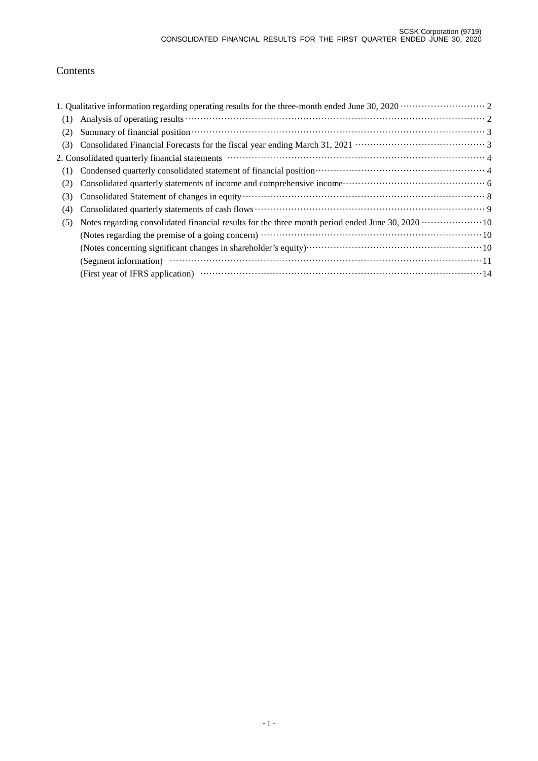# Contents

| (1) |                                                                                                                                                                                                                               |  |
|-----|-------------------------------------------------------------------------------------------------------------------------------------------------------------------------------------------------------------------------------|--|
| (2) | Summary of financial position (3) and the summary of financial position (3) and the set of financial position (3) and (3) and (4) and (4) and (4) and (4) and (4) and (4) and (4) and (4) and (4) and (4) and (4) and (4) and |  |
| (3) |                                                                                                                                                                                                                               |  |
|     |                                                                                                                                                                                                                               |  |
|     |                                                                                                                                                                                                                               |  |
| (2) |                                                                                                                                                                                                                               |  |
| (3) |                                                                                                                                                                                                                               |  |
| (4) |                                                                                                                                                                                                                               |  |
| (5) |                                                                                                                                                                                                                               |  |
|     |                                                                                                                                                                                                                               |  |
|     |                                                                                                                                                                                                                               |  |
|     |                                                                                                                                                                                                                               |  |
|     |                                                                                                                                                                                                                               |  |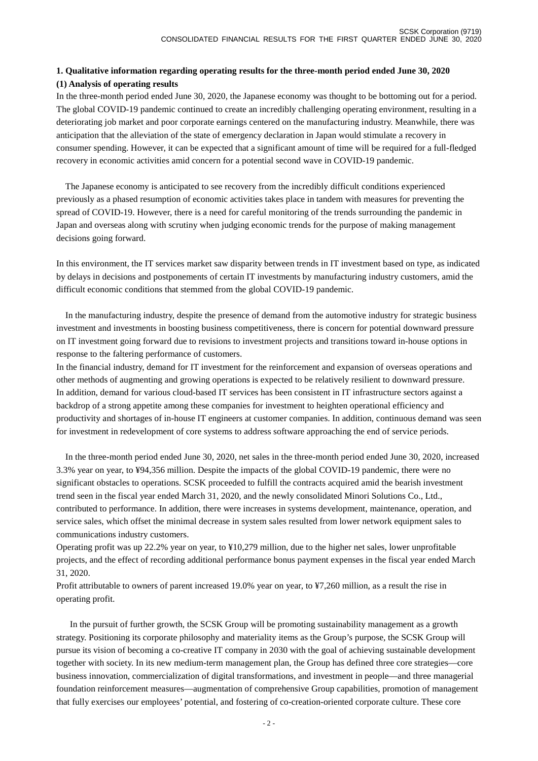### **1. Qualitative information regarding operating results for the three-month period ended June 30, 2020 (1) Analysis of operating results**

In the three-month period ended June 30, 2020, the Japanese economy was thought to be bottoming out for a period. The global COVID-19 pandemic continued to create an incredibly challenging operating environment, resulting in a deteriorating job market and poor corporate earnings centered on the manufacturing industry. Meanwhile, there was anticipation that the alleviation of the state of emergency declaration in Japan would stimulate a recovery in consumer spending. However, it can be expected that a significant amount of time will be required for a full-fledged recovery in economic activities amid concern for a potential second wave in COVID-19 pandemic.

The Japanese economy is anticipated to see recovery from the incredibly difficult conditions experienced previously as a phased resumption of economic activities takes place in tandem with measures for preventing the spread of COVID-19. However, there is a need for careful monitoring of the trends surrounding the pandemic in Japan and overseas along with scrutiny when judging economic trends for the purpose of making management decisions going forward.

In this environment, the IT services market saw disparity between trends in IT investment based on type, as indicated by delays in decisions and postponements of certain IT investments by manufacturing industry customers, amid the difficult economic conditions that stemmed from the global COVID-19 pandemic.

In the manufacturing industry, despite the presence of demand from the automotive industry for strategic business investment and investments in boosting business competitiveness, there is concern for potential downward pressure on IT investment going forward due to revisions to investment projects and transitions toward in-house options in response to the faltering performance of customers.

In the financial industry, demand for IT investment for the reinforcement and expansion of overseas operations and other methods of augmenting and growing operations is expected to be relatively resilient to downward pressure. In addition, demand for various cloud-based IT services has been consistent in IT infrastructure sectors against a backdrop of a strong appetite among these companies for investment to heighten operational efficiency and productivity and shortages of in-house IT engineers at customer companies. In addition, continuous demand was seen for investment in redevelopment of core systems to address software approaching the end of service periods.

In the three-month period ended June 30, 2020, net sales in the three-month period ended June 30, 2020, increased 3.3% year on year, to ¥94,356 million. Despite the impacts of the global COVID-19 pandemic, there were no significant obstacles to operations. SCSK proceeded to fulfill the contracts acquired amid the bearish investment trend seen in the fiscal year ended March 31, 2020, and the newly consolidated Minori Solutions Co., Ltd., contributed to performance. In addition, there were increases in systems development, maintenance, operation, and service sales, which offset the minimal decrease in system sales resulted from lower network equipment sales to communications industry customers.

Operating profit was up 22.2% year on year, to ¥10,279 million, due to the higher net sales, lower unprofitable projects, and the effect of recording additional performance bonus payment expenses in the fiscal year ended March 31, 2020.

Profit attributable to owners of parent increased 19.0% year on year, to ¥7,260 million, as a result the rise in operating profit.

In the pursuit of further growth, the SCSK Group will be promoting sustainability management as a growth strategy. Positioning its corporate philosophy and materiality items as the Group's purpose, the SCSK Group will pursue its vision of becoming a co-creative IT company in 2030 with the goal of achieving sustainable development together with society. In its new medium-term management plan, the Group has defined three core strategies—core business innovation, commercialization of digital transformations, and investment in people—and three managerial foundation reinforcement measures—augmentation of comprehensive Group capabilities, promotion of management that fully exercises our employees' potential, and fostering of co-creation-oriented corporate culture. These core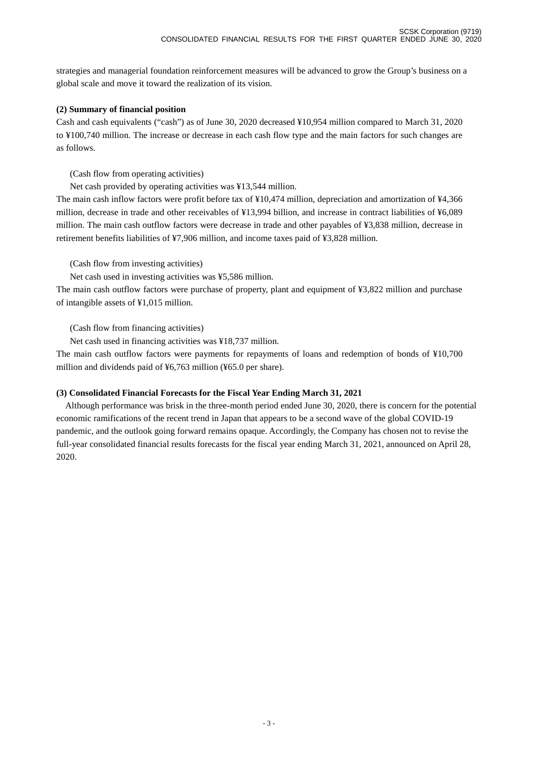strategies and managerial foundation reinforcement measures will be advanced to grow the Group's business on a global scale and move it toward the realization of its vision.

### **(2) Summary of financial position**

Cash and cash equivalents ("cash") as of June 30, 2020 decreased ¥10,954 million compared to March 31, 2020 to ¥100,740 million. The increase or decrease in each cash flow type and the main factors for such changes are as follows.

(Cash flow from operating activities)

Net cash provided by operating activities was ¥13,544 million.

The main cash inflow factors were profit before tax of ¥10,474 million, depreciation and amortization of ¥4,366 million, decrease in trade and other receivables of ¥13,994 billion, and increase in contract liabilities of ¥6,089 million. The main cash outflow factors were decrease in trade and other payables of ¥3,838 million, decrease in retirement benefits liabilities of ¥7,906 million, and income taxes paid of ¥3,828 million.

(Cash flow from investing activities)

Net cash used in investing activities was ¥5,586 million.

The main cash outflow factors were purchase of property, plant and equipment of ¥3,822 million and purchase of intangible assets of ¥1,015 million.

(Cash flow from financing activities)

Net cash used in financing activities was ¥18,737 million.

The main cash outflow factors were payments for repayments of loans and redemption of bonds of ¥10,700 million and dividends paid of ¥6,763 million (¥65.0 per share).

### **(3) Consolidated Financial Forecasts for the Fiscal Year Ending March 31, 2021**

Although performance was brisk in the three-month period ended June 30, 2020, there is concern for the potential economic ramifications of the recent trend in Japan that appears to be a second wave of the global COVID-19 pandemic, and the outlook going forward remains opaque. Accordingly, the Company has chosen not to revise the full-year consolidated financial results forecasts for the fiscal year ending March 31, 2021, announced on April 28, 2020.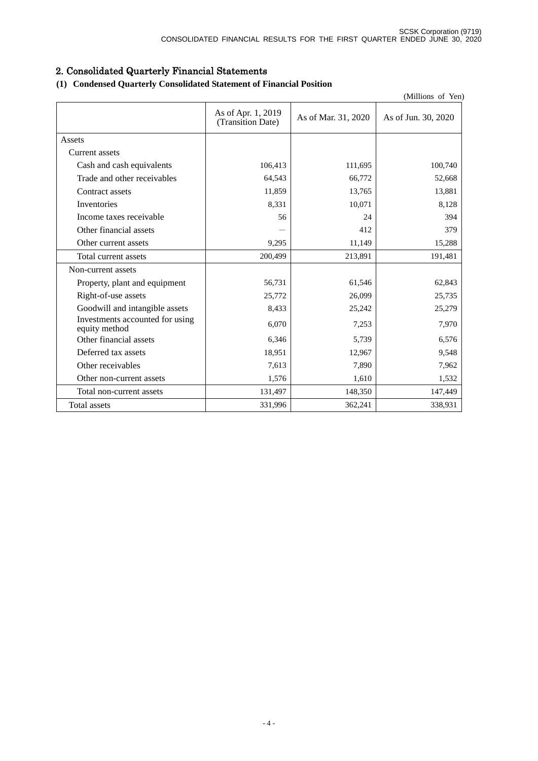# 2. Consolidated Quarterly Financial Statements

# **(1) Condensed Quarterly Consolidated Statement of Financial Position**

| (Millions of Yen)                                |                                         |                     |                     |  |  |
|--------------------------------------------------|-----------------------------------------|---------------------|---------------------|--|--|
|                                                  | As of Apr. 1, 2019<br>(Transition Date) | As of Mar. 31, 2020 | As of Jun. 30, 2020 |  |  |
| Assets                                           |                                         |                     |                     |  |  |
| Current assets                                   |                                         |                     |                     |  |  |
| Cash and cash equivalents                        | 106,413                                 | 111,695             | 100,740             |  |  |
| Trade and other receivables                      | 64,543                                  | 66,772              | 52,668              |  |  |
| Contract assets                                  | 11,859                                  | 13,765              | 13,881              |  |  |
| Inventories                                      | 8,331                                   | 10,071              | 8,128               |  |  |
| Income taxes receivable                          | 56                                      | 24                  | 394                 |  |  |
| Other financial assets                           |                                         | 412                 | 379                 |  |  |
| Other current assets                             | 9,295                                   | 11,149              | 15,288              |  |  |
| Total current assets                             | 200,499                                 | 213,891             | 191,481             |  |  |
| Non-current assets                               |                                         |                     |                     |  |  |
| Property, plant and equipment                    | 56,731                                  | 61,546              | 62,843              |  |  |
| Right-of-use assets                              | 25,772                                  | 26,099              | 25,735              |  |  |
| Goodwill and intangible assets                   | 8,433                                   | 25,242              | 25,279              |  |  |
| Investments accounted for using<br>equity method | 6,070                                   | 7,253               | 7,970               |  |  |
| Other financial assets                           | 6,346                                   | 5,739               | 6,576               |  |  |
| Deferred tax assets                              | 18,951                                  | 12,967              | 9,548               |  |  |
| Other receivables                                | 7,613                                   | 7,890               | 7,962               |  |  |
| Other non-current assets                         | 1,576                                   | 1,610               | 1,532               |  |  |
| Total non-current assets                         | 131,497                                 | 148,350             | 147,449             |  |  |
| Total assets                                     | 331,996                                 | 362,241             | 338,931             |  |  |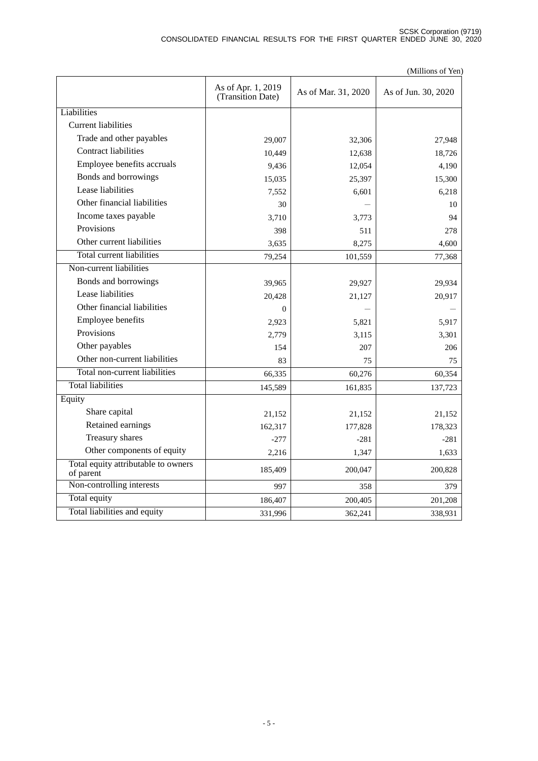|                                                  |                                         |                     | (Millions of Yen)   |
|--------------------------------------------------|-----------------------------------------|---------------------|---------------------|
|                                                  | As of Apr. 1, 2019<br>(Transition Date) | As of Mar. 31, 2020 | As of Jun. 30, 2020 |
| Liabilities                                      |                                         |                     |                     |
| Current liabilities                              |                                         |                     |                     |
| Trade and other payables                         | 29,007                                  | 32,306              | 27,948              |
| <b>Contract liabilities</b>                      | 10,449                                  | 12,638              | 18,726              |
| Employee benefits accruals                       | 9,436                                   | 12,054              | 4,190               |
| Bonds and borrowings                             | 15,035                                  | 25,397              | 15,300              |
| Lease liabilities                                | 7,552                                   | 6,601               | 6.218               |
| Other financial liabilities                      | 30                                      |                     | 10                  |
| Income taxes payable                             | 3,710                                   | 3,773               | 94                  |
| Provisions                                       | 398                                     | 511                 | 278                 |
| Other current liabilities                        | 3,635                                   | 8,275               | 4,600               |
| <b>Total current liabilities</b>                 | 79,254                                  | 101,559             | 77,368              |
| Non-current liabilities                          |                                         |                     |                     |
| Bonds and borrowings                             | 39,965                                  | 29,927              | 29,934              |
| Lease liabilities                                | 20,428                                  | 21,127              | 20,917              |
| Other financial liabilities                      | $\Omega$                                |                     |                     |
| Employee benefits                                | 2,923                                   | 5,821               | 5,917               |
| Provisions                                       | 2,779                                   | 3,115               | 3,301               |
| Other payables                                   | 154                                     | 207                 | 206                 |
| Other non-current liabilities                    | 83                                      | 75                  | 75                  |
| Total non-current liabilities                    | 66,335                                  | 60,276              | 60,354              |
| <b>Total liabilities</b>                         | 145,589                                 | 161,835             | 137,723             |
| Equity                                           |                                         |                     |                     |
| Share capital                                    | 21,152                                  | 21,152              | 21,152              |
| Retained earnings                                | 162,317                                 | 177,828             | 178,323             |
| Treasury shares                                  | $-277$                                  | $-281$              | $-281$              |
| Other components of equity                       | 2,216                                   | 1,347               | 1,633               |
| Total equity attributable to owners<br>of parent | 185,409                                 | 200,047             | 200,828             |
| Non-controlling interests                        | 997                                     | 358                 | 379                 |
| Total equity                                     | 186,407                                 | 200,405             | 201,208             |
| Total liabilities and equity                     | 331,996                                 | 362,241             | 338,931             |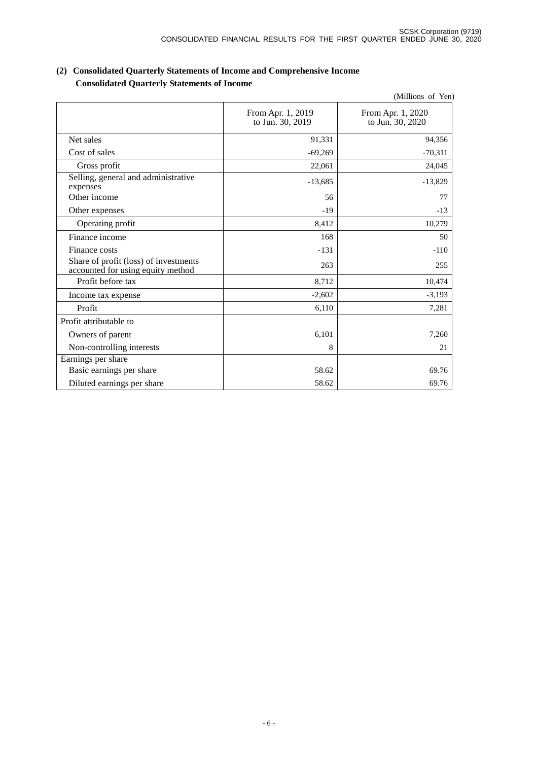|                                                                            |                                       | (Millions of Yen)                     |
|----------------------------------------------------------------------------|---------------------------------------|---------------------------------------|
|                                                                            | From Apr. 1, 2019<br>to Jun. 30, 2019 | From Apr. 1, 2020<br>to Jun. 30, 2020 |
| Net sales                                                                  | 91,331                                | 94,356                                |
| Cost of sales                                                              | $-69,269$                             | $-70,311$                             |
| Gross profit                                                               | 22,061                                | 24,045                                |
| Selling, general and administrative<br>expenses                            | $-13,685$                             | $-13,829$                             |
| Other income                                                               | 56                                    | 77                                    |
| Other expenses                                                             | $-19$                                 | $-13$                                 |
| Operating profit                                                           | 8,412                                 | 10,279                                |
| Finance income                                                             | 168                                   | 50                                    |
| Finance costs                                                              | $-131$                                | $-110$                                |
| Share of profit (loss) of investments<br>accounted for using equity method | 263                                   | 255                                   |
| Profit before tax                                                          | 8,712                                 | 10,474                                |
| Income tax expense                                                         | $-2,602$                              | $-3,193$                              |
| Profit                                                                     | 6,110                                 | 7,281                                 |
| Profit attributable to                                                     |                                       |                                       |
| Owners of parent                                                           | 6,101                                 | 7,260                                 |
| Non-controlling interests                                                  | 8                                     | 21                                    |
| Earnings per share                                                         |                                       |                                       |
| Basic earnings per share                                                   | 58.62                                 | 69.76                                 |
| Diluted earnings per share                                                 | 58.62                                 | 69.76                                 |

### **(2) Consolidated Quarterly Statements of Income and Comprehensive Income Consolidated Quarterly Statements of Income**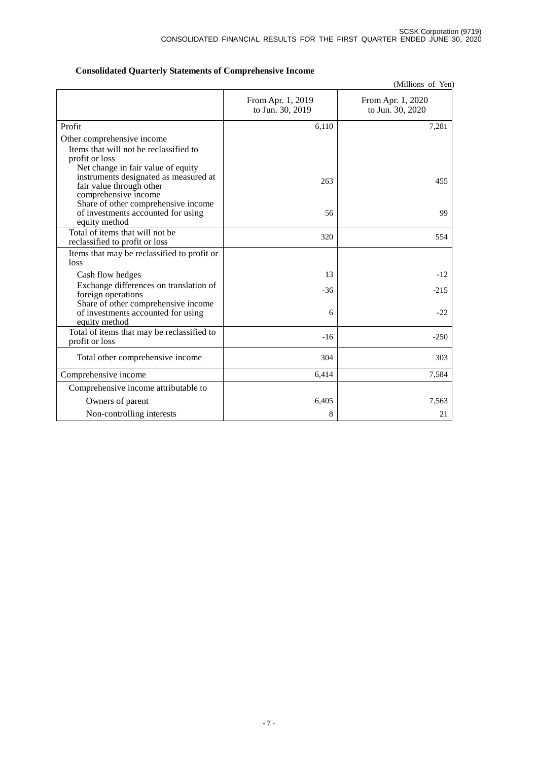|  |  |  | <b>Consolidated Quarterly Statements of Comprehensive Income</b> |  |
|--|--|--|------------------------------------------------------------------|--|
|--|--|--|------------------------------------------------------------------|--|

(Millions of Yen)

|                                                                                                                    | From Apr. 1, 2019<br>to Jun. 30, 2019 | From Apr. 1, 2020<br>to Jun. 30, 2020 |
|--------------------------------------------------------------------------------------------------------------------|---------------------------------------|---------------------------------------|
| Profit                                                                                                             | 6,110                                 | 7,281                                 |
| Other comprehensive income                                                                                         |                                       |                                       |
| Items that will not be reclassified to<br>profit or loss                                                           |                                       |                                       |
| Net change in fair value of equity<br>instruments designated as measured at<br>fair value through other            | 263                                   | 455                                   |
| comprehensive income<br>Share of other comprehensive income<br>of investments accounted for using<br>equity method | 56                                    | 99                                    |
| Total of items that will not be<br>reclassified to profit or loss                                                  | 320                                   | 554                                   |
| Items that may be reclassified to profit or<br>loss                                                                |                                       |                                       |
| Cash flow hedges                                                                                                   | 13                                    | $-12$                                 |
| Exchange differences on translation of<br>foreign operations                                                       | $-36$                                 | $-215$                                |
| Share of other comprehensive income<br>of investments accounted for using<br>equity method                         | 6                                     | $-22$                                 |
| Total of items that may be reclassified to<br>profit or loss                                                       | $-16$                                 | $-250$                                |
| Total other comprehensive income                                                                                   | 304                                   | 303                                   |
| Comprehensive income                                                                                               | 6,414                                 | 7,584                                 |
| Comprehensive income attributable to                                                                               |                                       |                                       |
| Owners of parent                                                                                                   | 6,405                                 | 7,563                                 |
| Non-controlling interests                                                                                          | 8                                     | 21                                    |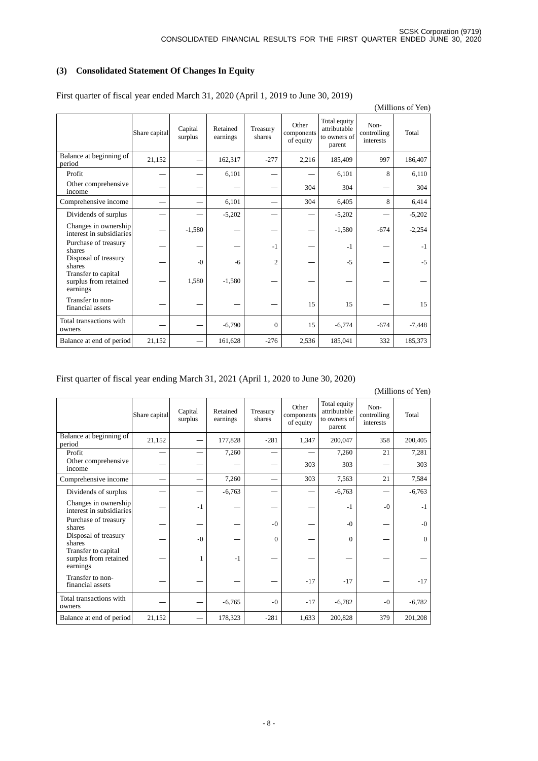# **(3) Consolidated Statement Of Changes In Equity**

|                                                          |               |                    |                      |                    |                                  |                                                        |                                  | (Millions of Yen) |
|----------------------------------------------------------|---------------|--------------------|----------------------|--------------------|----------------------------------|--------------------------------------------------------|----------------------------------|-------------------|
|                                                          | Share capital | Capital<br>surplus | Retained<br>earnings | Treasury<br>shares | Other<br>components<br>of equity | Total equity<br>attributable<br>to owners of<br>parent | Non-<br>controlling<br>interests | Total             |
| Balance at beginning of<br>period                        | 21,152        |                    | 162,317              | $-277$             | 2,216                            | 185,409                                                | 997                              | 186,407           |
| Profit                                                   |               |                    | 6,101                |                    |                                  | 6,101                                                  | 8                                | 6,110             |
| Other comprehensive<br>income                            |               |                    |                      |                    | 304                              | 304                                                    |                                  | 304               |
| Comprehensive income                                     |               |                    | 6,101                |                    | 304                              | 6,405                                                  | 8                                | 6,414             |
| Dividends of surplus                                     |               |                    | $-5,202$             |                    |                                  | $-5,202$                                               |                                  | $-5,202$          |
| Changes in ownership<br>interest in subsidiaries         |               | $-1,580$           |                      |                    |                                  | $-1,580$                                               | $-674$                           | $-2,254$          |
| Purchase of treasury<br>shares                           |               |                    |                      | $-1$               |                                  | $-1$                                                   |                                  | $-1$              |
| Disposal of treasury<br>shares                           |               | $-()$              | $-6$                 | $\overline{2}$     |                                  | $-5$                                                   |                                  | $-5$              |
| Transfer to capital<br>surplus from retained<br>earnings |               | 1,580              | $-1,580$             |                    |                                  |                                                        |                                  |                   |
| Transfer to non-<br>financial assets                     |               |                    |                      |                    | 15                               | 15                                                     |                                  | 15                |
| Total transactions with<br>owners                        |               |                    | $-6,790$             | $\overline{0}$     | 15                               | $-6,774$                                               | $-674$                           | $-7,448$          |
| Balance at end of period                                 | 21,152        |                    | 161,628              | $-276$             | 2,536                            | 185,041                                                | 332                              | 185,373           |

First quarter of fiscal year ended March 31, 2020 (April 1, 2019 to June 30, 2019)

### First quarter of fiscal year ending March 31, 2021 (April 1, 2020 to June 30, 2020)

|                                                          |               |                    |                      |                    |                                  |                                                        |                                  | (Millions of Yen) |
|----------------------------------------------------------|---------------|--------------------|----------------------|--------------------|----------------------------------|--------------------------------------------------------|----------------------------------|-------------------|
|                                                          | Share capital | Capital<br>surplus | Retained<br>earnings | Treasury<br>shares | Other<br>components<br>of equity | Total equity<br>attributable<br>to owners of<br>parent | Non-<br>controlling<br>interests | Total             |
| Balance at beginning of<br>period                        | 21,152        |                    | 177,828              | $-281$             | 1,347                            | 200,047                                                | 358                              | 200,405           |
| Profit                                                   |               |                    | 7,260                |                    |                                  | 7,260                                                  | 21                               | 7,281             |
| Other comprehensive<br>income                            |               |                    |                      |                    | 303                              | 303                                                    |                                  | 303               |
| Comprehensive income                                     |               |                    | 7,260                |                    | 303                              | 7,563                                                  | 21                               | 7,584             |
| Dividends of surplus                                     |               |                    | $-6,763$             |                    |                                  | $-6,763$                                               |                                  | $-6,763$          |
| Changes in ownership<br>interest in subsidiaries         |               | $-1$               |                      |                    |                                  | $-1$                                                   | $-0$                             | $-1$              |
| Purchase of treasury<br>shares                           |               |                    |                      | $-()$              |                                  | $-0$                                                   |                                  | $-0$              |
| Disposal of treasury<br>shares                           |               | $-0$               |                      | $\Omega$           |                                  | $\Omega$                                               |                                  | $\Omega$          |
| Transfer to capital<br>surplus from retained<br>earnings |               |                    | $-1$                 |                    |                                  |                                                        |                                  |                   |
| Transfer to non-<br>financial assets                     |               |                    |                      |                    | $-17$                            | $-17$                                                  |                                  | $-17$             |
| Total transactions with<br>owners                        |               |                    | $-6,765$             | $-0$               | $-17$                            | $-6,782$                                               | $-0$                             | $-6,782$          |
| Balance at end of period                                 | 21,152        |                    | 178,323              | $-281$             | 1,633                            | 200,828                                                | 379                              | 201,208           |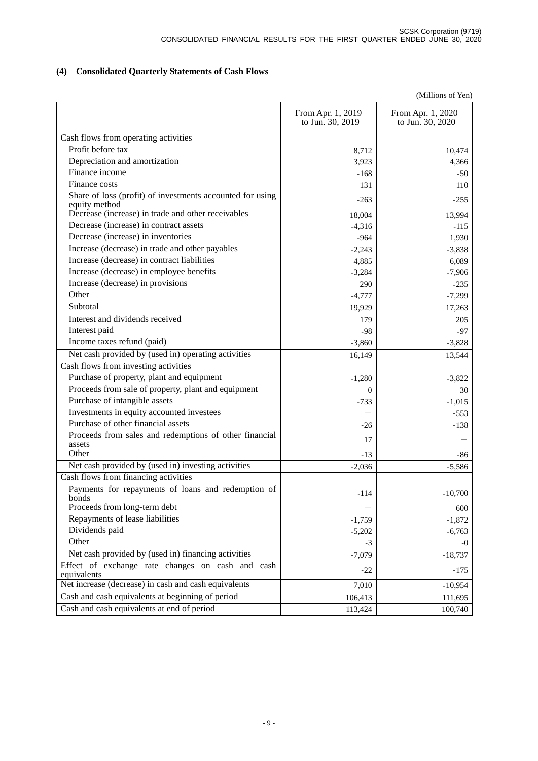# **(4) Consolidated Quarterly Statements of Cash Flows**

|                                                                            |                                       | (Millions of Yen)                     |
|----------------------------------------------------------------------------|---------------------------------------|---------------------------------------|
|                                                                            | From Apr. 1, 2019<br>to Jun. 30, 2019 | From Apr. 1, 2020<br>to Jun. 30, 2020 |
| Cash flows from operating activities                                       |                                       |                                       |
| Profit before tax                                                          | 8,712                                 | 10,474                                |
| Depreciation and amortization                                              | 3,923                                 | 4,366                                 |
| Finance income                                                             | $-168$                                | $-50$                                 |
| Finance costs                                                              | 131                                   | 110                                   |
| Share of loss (profit) of investments accounted for using<br>equity method | $-263$                                | $-255$                                |
| Decrease (increase) in trade and other receivables                         | 18,004                                | 13,994                                |
| Decrease (increase) in contract assets                                     | $-4,316$                              | $-115$                                |
| Decrease (increase) in inventories                                         | $-964$                                | 1,930                                 |
| Increase (decrease) in trade and other payables                            | $-2,243$                              | $-3,838$                              |
| Increase (decrease) in contract liabilities                                | 4,885                                 | 6,089                                 |
| Increase (decrease) in employee benefits                                   | $-3,284$                              | $-7,906$                              |
| Increase (decrease) in provisions                                          | 290                                   | $-235$                                |
| Other                                                                      | $-4,777$                              | $-7,299$                              |
| Subtotal                                                                   | 19,929                                | 17,263                                |
| Interest and dividends received                                            | 179                                   | 205                                   |
| Interest paid                                                              | $-98$                                 | $-97$                                 |
| Income taxes refund (paid)                                                 | $-3,860$                              | $-3,828$                              |
| Net cash provided by (used in) operating activities                        | 16,149                                | 13,544                                |
| Cash flows from investing activities                                       |                                       |                                       |
| Purchase of property, plant and equipment                                  | $-1,280$                              | $-3,822$                              |
| Proceeds from sale of property, plant and equipment                        | $\Omega$                              | 30                                    |
| Purchase of intangible assets                                              | $-733$                                | $-1,015$                              |
| Investments in equity accounted investees                                  |                                       | $-553$                                |
| Purchase of other financial assets                                         | $-26$                                 | $-138$                                |
| Proceeds from sales and redemptions of other financial<br>assets           | 17                                    |                                       |
| Other                                                                      | $-13$                                 | -86                                   |
| Net cash provided by (used in) investing activities                        | $-2,036$                              | $-5,586$                              |
| Cash flows from financing activities                                       |                                       |                                       |
| Payments for repayments of loans and redemption of<br>bonds                | $-114$                                | $-10,700$                             |
| Proceeds from long-term debt                                               |                                       | 600                                   |
| Repayments of lease liabilities                                            | $-1,759$                              | $-1,872$                              |
| Dividends paid                                                             | $-5,202$                              | $-6,763$                              |
| Other                                                                      | $-3$                                  | -0                                    |
| Net cash provided by (used in) financing activities                        | $-7,079$                              | $-18,737$                             |
| Effect of exchange rate changes on cash and cash<br>equivalents            | $-22$                                 | $-175$                                |
| Net increase (decrease) in cash and cash equivalents                       | 7,010                                 | $-10,954$                             |
| Cash and cash equivalents at beginning of period                           | 106,413                               | 111,695                               |
| Cash and cash equivalents at end of period                                 | 113,424                               | 100,740                               |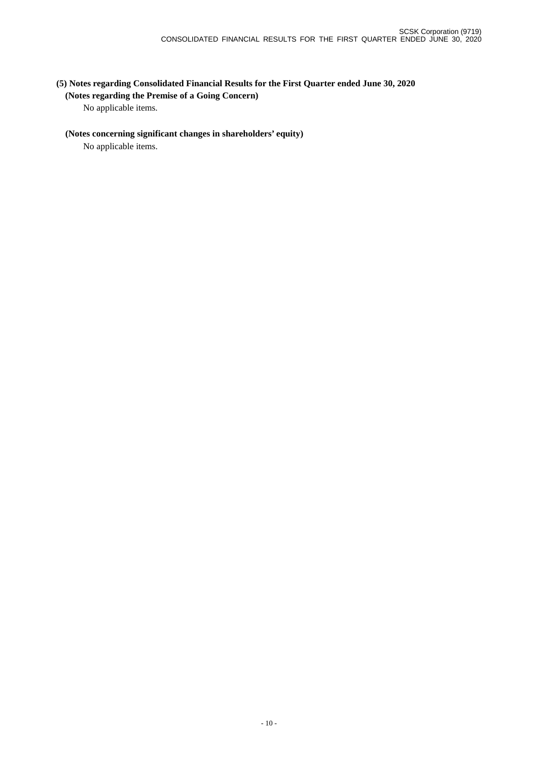# **(5) Notes regarding Consolidated Financial Results for the First Quarter ended June 30, 2020**

### **(Notes regarding the Premise of a Going Concern)**

No applicable items.

### **(Notes concerning significant changes in shareholders' equity)**

No applicable items.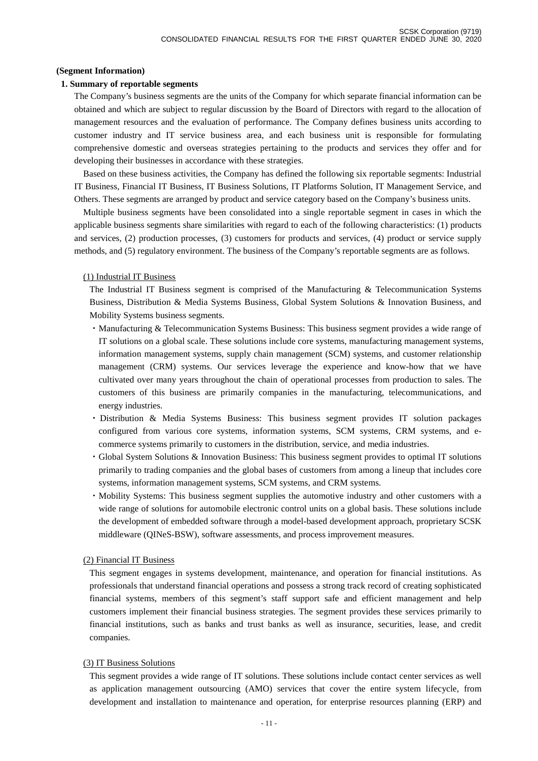#### **(Segment Information)**

#### **1. Summary of reportable segments**

The Company's business segments are the units of the Company for which separate financial information can be obtained and which are subject to regular discussion by the Board of Directors with regard to the allocation of management resources and the evaluation of performance. The Company defines business units according to customer industry and IT service business area, and each business unit is responsible for formulating comprehensive domestic and overseas strategies pertaining to the products and services they offer and for developing their businesses in accordance with these strategies.

Based on these business activities, the Company has defined the following six reportable segments: Industrial IT Business, Financial IT Business, IT Business Solutions, IT Platforms Solution, IT Management Service, and Others. These segments are arranged by product and service category based on the Company's business units.

Multiple business segments have been consolidated into a single reportable segment in cases in which the applicable business segments share similarities with regard to each of the following characteristics: (1) products and services, (2) production processes, (3) customers for products and services, (4) product or service supply methods, and (5) regulatory environment. The business of the Company's reportable segments are as follows.

#### (1) Industrial IT Business

The Industrial IT Business segment is comprised of the Manufacturing & Telecommunication Systems Business, Distribution & Media Systems Business, Global System Solutions & Innovation Business, and Mobility Systems business segments.

- ・Manufacturing & Telecommunication Systems Business: This business segment provides a wide range of IT solutions on a global scale. These solutions include core systems, manufacturing management systems, information management systems, supply chain management (SCM) systems, and customer relationship management (CRM) systems. Our services leverage the experience and know-how that we have cultivated over many years throughout the chain of operational processes from production to sales. The customers of this business are primarily companies in the manufacturing, telecommunications, and energy industries.
- ・Distribution & Media Systems Business: This business segment provides IT solution packages configured from various core systems, information systems, SCM systems, CRM systems, and ecommerce systems primarily to customers in the distribution, service, and media industries.
- ・Global System Solutions & Innovation Business: This business segment provides to optimal IT solutions primarily to trading companies and the global bases of customers from among a lineup that includes core systems, information management systems, SCM systems, and CRM systems.
- ・Mobility Systems: This business segment supplies the automotive industry and other customers with a wide range of solutions for automobile electronic control units on a global basis. These solutions include the development of embedded software through a model-based development approach, proprietary SCSK middleware (QINeS-BSW), software assessments, and process improvement measures.

#### (2) Financial IT Business

This segment engages in systems development, maintenance, and operation for financial institutions. As professionals that understand financial operations and possess a strong track record of creating sophisticated financial systems, members of this segment's staff support safe and efficient management and help customers implement their financial business strategies. The segment provides these services primarily to financial institutions, such as banks and trust banks as well as insurance, securities, lease, and credit companies.

#### (3) IT Business Solutions

This segment provides a wide range of IT solutions. These solutions include contact center services as well as application management outsourcing (AMO) services that cover the entire system lifecycle, from development and installation to maintenance and operation, for enterprise resources planning (ERP) and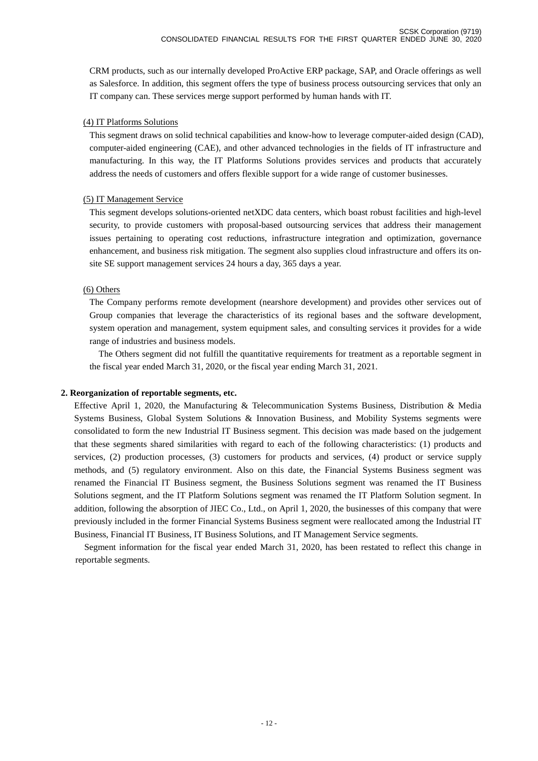CRM products, such as our internally developed ProActive ERP package, SAP, and Oracle offerings as well as Salesforce. In addition, this segment offers the type of business process outsourcing services that only an IT company can. These services merge support performed by human hands with IT.

### (4) IT Platforms Solutions

This segment draws on solid technical capabilities and know-how to leverage computer-aided design (CAD), computer-aided engineering (CAE), and other advanced technologies in the fields of IT infrastructure and manufacturing. In this way, the IT Platforms Solutions provides services and products that accurately address the needs of customers and offers flexible support for a wide range of customer businesses.

### (5) IT Management Service

This segment develops solutions-oriented netXDC data centers, which boast robust facilities and high-level security, to provide customers with proposal-based outsourcing services that address their management issues pertaining to operating cost reductions, infrastructure integration and optimization, governance enhancement, and business risk mitigation. The segment also supplies cloud infrastructure and offers its onsite SE support management services 24 hours a day, 365 days a year.

### (6) Others

The Company performs remote development (nearshore development) and provides other services out of Group companies that leverage the characteristics of its regional bases and the software development, system operation and management, system equipment sales, and consulting services it provides for a wide range of industries and business models.

The Others segment did not fulfill the quantitative requirements for treatment as a reportable segment in the fiscal year ended March 31, 2020, or the fiscal year ending March 31, 2021.

### **2. Reorganization of reportable segments, etc.**

Effective April 1, 2020, the Manufacturing & Telecommunication Systems Business, Distribution & Media Systems Business, Global System Solutions & Innovation Business, and Mobility Systems segments were consolidated to form the new Industrial IT Business segment. This decision was made based on the judgement that these segments shared similarities with regard to each of the following characteristics: (1) products and services, (2) production processes, (3) customers for products and services, (4) product or service supply methods, and (5) regulatory environment. Also on this date, the Financial Systems Business segment was renamed the Financial IT Business segment, the Business Solutions segment was renamed the IT Business Solutions segment, and the IT Platform Solutions segment was renamed the IT Platform Solution segment. In addition, following the absorption of JIEC Co., Ltd., on April 1, 2020, the businesses of this company that were previously included in the former Financial Systems Business segment were reallocated among the Industrial IT Business, Financial IT Business, IT Business Solutions, and IT Management Service segments.

Segment information for the fiscal year ended March 31, 2020, has been restated to reflect this change in reportable segments.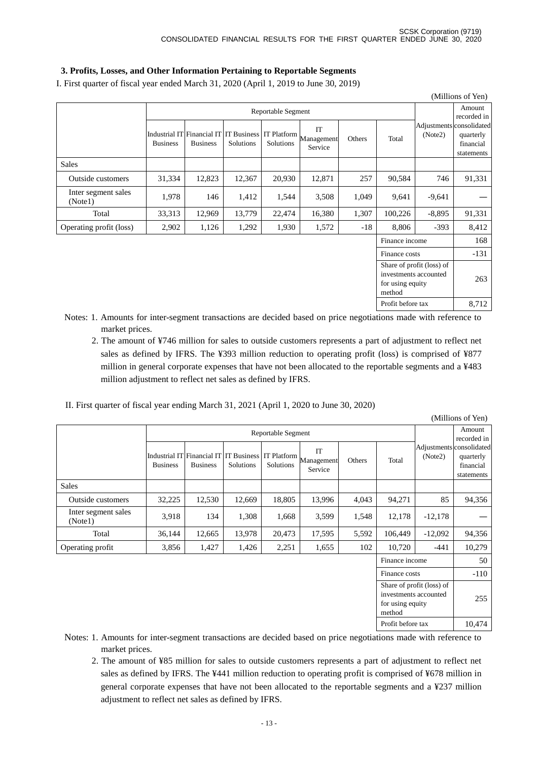### **3. Profits, Losses, and Other Information Pertaining to Reportable Segments**

I. First quarter of fiscal year ended March 31, 2020 (April 1, 2019 to June 30, 2019)

| (Millions of Yen)                                                                |                 |                 |           |                    |                                                                                    |        |                |          |                                                                  |  |  |
|----------------------------------------------------------------------------------|-----------------|-----------------|-----------|--------------------|------------------------------------------------------------------------------------|--------|----------------|----------|------------------------------------------------------------------|--|--|
|                                                                                  |                 |                 |           | Reportable Segment |                                                                                    |        |                |          | Amount<br>recorded in                                            |  |  |
|                                                                                  | <b>Business</b> | <b>Business</b> | Solutions | Solutions          | IT<br>Industrial IT Financial IT   IT Business   IT Platform Management<br>Service | Others | Total          | (Note2)  | Adjustments consolidated<br>quarterly<br>financial<br>statements |  |  |
| <b>Sales</b>                                                                     |                 |                 |           |                    |                                                                                    |        |                |          |                                                                  |  |  |
| Outside customers                                                                | 31,334          | 12,823          | 12,367    | 20,930             | 12,871                                                                             | 257    | 90,584         | 746      | 91,331                                                           |  |  |
| Inter segment sales<br>(Note1)                                                   | 1,978           | 146             | 1,412     | 1,544              | 3,508                                                                              | 1,049  | 9,641          | $-9,641$ |                                                                  |  |  |
| Total                                                                            | 33,313          | 12,969          | 13,779    | 22,474             | 16,380                                                                             | 1,307  | 100,226        | $-8,895$ | 91,331                                                           |  |  |
| Operating profit (loss)                                                          | 2,902           | 1,126           | 1,292     | 1,930              | 1,572                                                                              | $-18$  | 8,806          | $-393$   | 8,412                                                            |  |  |
|                                                                                  |                 |                 |           |                    |                                                                                    |        | Finance income |          | 168                                                              |  |  |
|                                                                                  |                 |                 |           |                    |                                                                                    |        | Finance costs  |          | $-131$                                                           |  |  |
| Share of profit (loss) of<br>investments accounted<br>for using equity<br>method |                 |                 |           |                    |                                                                                    |        |                |          | 263                                                              |  |  |

- Notes: 1. Amounts for inter-segment transactions are decided based on price negotiations made with reference to market prices.
	- 2. The amount of ¥746 million for sales to outside customers represents a part of adjustment to reflect net sales as defined by IFRS. The ¥393 million reduction to operating profit (loss) is comprised of ¥877 million in general corporate expenses that have not been allocated to the reportable segments and a ¥483 million adjustment to reflect net sales as defined by IFRS.

Profit before tax 8,712

II. First quarter of fiscal year ending March 31, 2021 (April 1, 2020 to June 30, 2020)

| (Millions of Yen)                                                                |                 |                                               |                          |                          |                             |        |                   |                                     |                                      |  |  |
|----------------------------------------------------------------------------------|-----------------|-----------------------------------------------|--------------------------|--------------------------|-----------------------------|--------|-------------------|-------------------------------------|--------------------------------------|--|--|
|                                                                                  |                 |                                               |                          | Reportable Segment       |                             |        |                   |                                     | Amount<br>recorded in                |  |  |
|                                                                                  | <b>Business</b> | Industrial IT Financial IT<br><b>Business</b> | IT Business<br>Solutions | IT Platform<br>Solutions | IT<br>Management<br>Service | Others | Total             | Adjustments consolidated<br>(Note2) | quarterly<br>financial<br>statements |  |  |
| <b>Sales</b>                                                                     |                 |                                               |                          |                          |                             |        |                   |                                     |                                      |  |  |
| Outside customers                                                                | 32,225          | 12,530                                        | 12,669                   | 18,805                   | 13,996                      | 4,043  | 94,271            | 85                                  | 94,356                               |  |  |
| Inter segment sales<br>(Note1)                                                   | 3,918           | 134                                           | 1,308                    | 1,668                    | 3,599                       | 1,548  | 12,178            | $-12,178$                           |                                      |  |  |
| Total                                                                            | 36,144          | 12,665                                        | 13,978                   | 20,473                   | 17,595                      | 5,592  | 106,449           | $-12,092$                           | 94,356                               |  |  |
| Operating profit                                                                 | 3,856           | 1,427                                         | 1,426                    | 2,251                    | 1,655                       | 102    | 10,720            | $-441$                              | 10,279                               |  |  |
|                                                                                  |                 |                                               |                          |                          |                             |        | Finance income    |                                     | 50                                   |  |  |
|                                                                                  |                 |                                               |                          |                          |                             |        | Finance costs     |                                     | $-110$                               |  |  |
| Share of profit (loss) of<br>investments accounted<br>for using equity<br>method |                 |                                               |                          |                          |                             |        |                   |                                     | 255                                  |  |  |
|                                                                                  |                 |                                               |                          |                          |                             |        | Profit before tax |                                     | 10,474                               |  |  |

Notes: 1. Amounts for inter-segment transactions are decided based on price negotiations made with reference to market prices.

2. The amount of ¥85 million for sales to outside customers represents a part of adjustment to reflect net sales as defined by IFRS. The ¥441 million reduction to operating profit is comprised of ¥678 million in general corporate expenses that have not been allocated to the reportable segments and a ¥237 million adjustment to reflect net sales as defined by IFRS.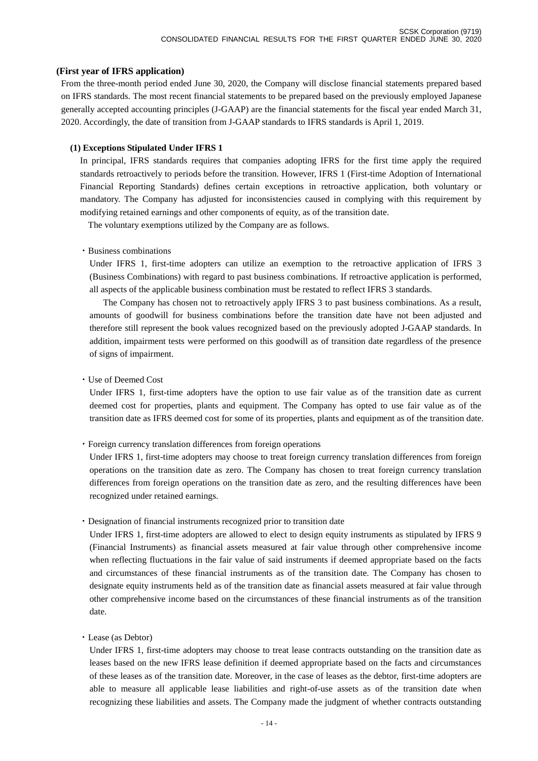#### **(First year of IFRS application)**

From the three-month period ended June 30, 2020, the Company will disclose financial statements prepared based on IFRS standards. The most recent financial statements to be prepared based on the previously employed Japanese generally accepted accounting principles (J-GAAP) are the financial statements for the fiscal year ended March 31, 2020. Accordingly, the date of transition from J-GAAP standards to IFRS standards is April 1, 2019.

#### **(1) Exceptions Stipulated Under IFRS 1**

In principal, IFRS standards requires that companies adopting IFRS for the first time apply the required standards retroactively to periods before the transition. However, IFRS 1 (First-time Adoption of International Financial Reporting Standards) defines certain exceptions in retroactive application, both voluntary or mandatory. The Company has adjusted for inconsistencies caused in complying with this requirement by modifying retained earnings and other components of equity, as of the transition date.

The voluntary exemptions utilized by the Company are as follows.

#### ・Business combinations

Under IFRS 1, first-time adopters can utilize an exemption to the retroactive application of IFRS 3 (Business Combinations) with regard to past business combinations. If retroactive application is performed, all aspects of the applicable business combination must be restated to reflect IFRS 3 standards.

The Company has chosen not to retroactively apply IFRS 3 to past business combinations. As a result, amounts of goodwill for business combinations before the transition date have not been adjusted and therefore still represent the book values recognized based on the previously adopted J-GAAP standards. In addition, impairment tests were performed on this goodwill as of transition date regardless of the presence of signs of impairment.

・Use of Deemed Cost

Under IFRS 1, first-time adopters have the option to use fair value as of the transition date as current deemed cost for properties, plants and equipment. The Company has opted to use fair value as of the transition date as IFRS deemed cost for some of its properties, plants and equipment as of the transition date.

・Foreign currency translation differences from foreign operations

Under IFRS 1, first-time adopters may choose to treat foreign currency translation differences from foreign operations on the transition date as zero. The Company has chosen to treat foreign currency translation differences from foreign operations on the transition date as zero, and the resulting differences have been recognized under retained earnings.

・Designation of financial instruments recognized prior to transition date

Under IFRS 1, first-time adopters are allowed to elect to design equity instruments as stipulated by IFRS 9 (Financial Instruments) as financial assets measured at fair value through other comprehensive income when reflecting fluctuations in the fair value of said instruments if deemed appropriate based on the facts and circumstances of these financial instruments as of the transition date. The Company has chosen to designate equity instruments held as of the transition date as financial assets measured at fair value through other comprehensive income based on the circumstances of these financial instruments as of the transition date.

・Lease (as Debtor)

Under IFRS 1, first-time adopters may choose to treat lease contracts outstanding on the transition date as leases based on the new IFRS lease definition if deemed appropriate based on the facts and circumstances of these leases as of the transition date. Moreover, in the case of leases as the debtor, first-time adopters are able to measure all applicable lease liabilities and right-of-use assets as of the transition date when recognizing these liabilities and assets. The Company made the judgment of whether contracts outstanding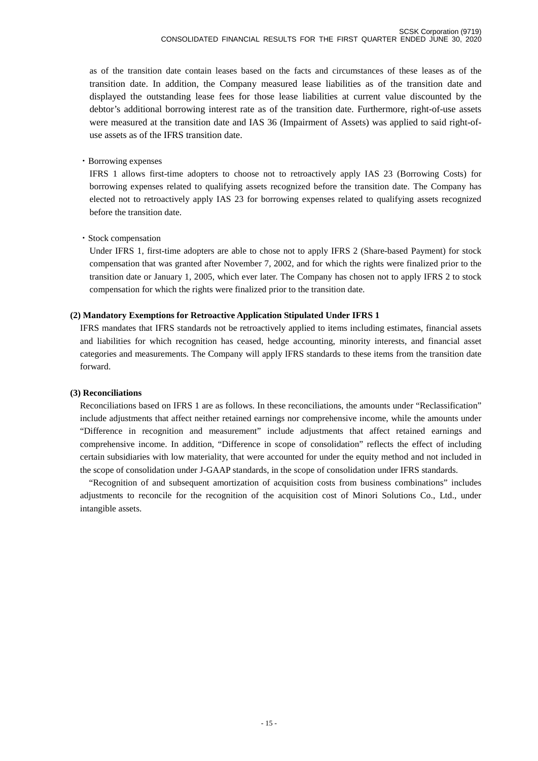as of the transition date contain leases based on the facts and circumstances of these leases as of the transition date. In addition, the Company measured lease liabilities as of the transition date and displayed the outstanding lease fees for those lease liabilities at current value discounted by the debtor's additional borrowing interest rate as of the transition date. Furthermore, right-of-use assets were measured at the transition date and IAS 36 (Impairment of Assets) was applied to said right-ofuse assets as of the IFRS transition date.

### ・Borrowing expenses

IFRS 1 allows first-time adopters to choose not to retroactively apply IAS 23 (Borrowing Costs) for borrowing expenses related to qualifying assets recognized before the transition date. The Company has elected not to retroactively apply IAS 23 for borrowing expenses related to qualifying assets recognized before the transition date.

### ・Stock compensation

Under IFRS 1, first-time adopters are able to chose not to apply IFRS 2 (Share-based Payment) for stock compensation that was granted after November 7, 2002, and for which the rights were finalized prior to the transition date or January 1, 2005, which ever later. The Company has chosen not to apply IFRS 2 to stock compensation for which the rights were finalized prior to the transition date.

### **(2) Mandatory Exemptions for Retroactive Application Stipulated Under IFRS 1**

IFRS mandates that IFRS standards not be retroactively applied to items including estimates, financial assets and liabilities for which recognition has ceased, hedge accounting, minority interests, and financial asset categories and measurements. The Company will apply IFRS standards to these items from the transition date forward.

#### **(3) Reconciliations**

Reconciliations based on IFRS 1 are as follows. In these reconciliations, the amounts under "Reclassification" include adjustments that affect neither retained earnings nor comprehensive income, while the amounts under "Difference in recognition and measurement" include adjustments that affect retained earnings and comprehensive income. In addition, "Difference in scope of consolidation" reflects the effect of including certain subsidiaries with low materiality, that were accounted for under the equity method and not included in the scope of consolidation under J-GAAP standards, in the scope of consolidation under IFRS standards.

"Recognition of and subsequent amortization of acquisition costs from business combinations" includes adjustments to reconcile for the recognition of the acquisition cost of Minori Solutions Co., Ltd., under intangible assets.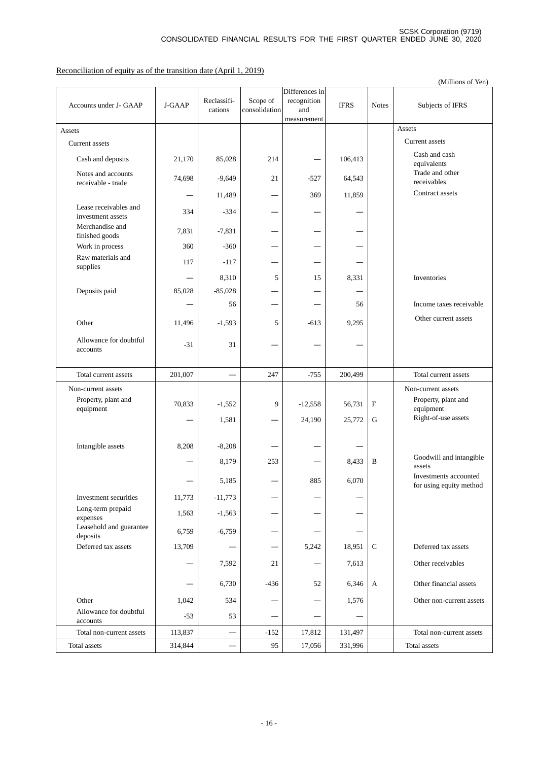Reconciliation of equity as of the transition date (April 1, 2019)

|                                            |         |                          |                           |                                                     |             |              | (Millions of Yen)                                |
|--------------------------------------------|---------|--------------------------|---------------------------|-----------------------------------------------------|-------------|--------------|--------------------------------------------------|
| Accounts under J- GAAP                     | J-GAAP  | Reclassifi-<br>cations   | Scope of<br>consolidation | Differences in<br>recognition<br>and<br>measurement | <b>IFRS</b> | <b>Notes</b> | Subjects of IFRS                                 |
| Assets                                     |         |                          |                           |                                                     |             |              | Assets                                           |
| Current assets                             |         |                          |                           |                                                     |             |              | <b>Current</b> assets                            |
| Cash and deposits                          | 21,170  | 85,028                   | 214                       |                                                     | 106,413     |              | Cash and cash<br>equivalents                     |
| Notes and accounts<br>receivable - trade   | 74,698  | $-9,649$                 | 21                        | $-527$                                              | 64,543      |              | Trade and other<br>receivables                   |
|                                            |         | 11,489                   |                           | 369                                                 | 11,859      |              | Contract assets                                  |
| Lease receivables and<br>investment assets | 334     | $-334$                   |                           |                                                     |             |              |                                                  |
| Merchandise and<br>finished goods          | 7,831   | $-7,831$                 |                           |                                                     |             |              |                                                  |
| Work in process                            | 360     | $-360$                   |                           |                                                     |             |              |                                                  |
| Raw materials and<br>supplies              | 117     | $-117$                   |                           |                                                     |             |              |                                                  |
|                                            |         | 8,310                    | 5                         | 15                                                  | 8,331       |              | Inventories                                      |
| Deposits paid                              | 85,028  | $-85,028$                |                           |                                                     |             |              |                                                  |
|                                            |         | 56                       |                           |                                                     | 56          |              | Income taxes receivable                          |
| Other                                      | 11,496  | $-1,593$                 | 5                         | $-613$                                              | 9,295       |              | Other current assets                             |
| Allowance for doubtful<br>accounts         | $-31$   | 31                       |                           |                                                     |             |              |                                                  |
| Total current assets                       | 201,007 | $\overline{\phantom{0}}$ | 247                       | $-755$                                              | 200,499     |              | Total current assets                             |
| Non-current assets                         |         |                          |                           |                                                     |             |              | Non-current assets                               |
| Property, plant and<br>equipment           | 70,833  | $-1,552$                 | 9                         | $-12,558$                                           | 56,731      | $\mathbf{F}$ | Property, plant and<br>equipment                 |
|                                            |         | 1,581                    |                           | 24,190                                              | 25,772      | ${\bf G}$    | Right-of-use assets                              |
| Intangible assets                          | 8,208   | $-8,208$                 |                           |                                                     |             |              |                                                  |
|                                            |         | 8,179                    | 253                       |                                                     | 8,433       | B            | Goodwill and intangible<br>assets                |
|                                            |         | 5,185                    |                           | 885                                                 | 6,070       |              | Investments accounted<br>for using equity method |
| Investment securities                      | 11,773  | $-11,773$                |                           |                                                     |             |              |                                                  |
| Long-term prepaid<br>expenses              | 1,563   | $-1,563$                 |                           |                                                     |             |              |                                                  |
| Leasehold and guarantee<br>deposits        | 6,759   | $-6,759$                 |                           |                                                     |             |              |                                                  |
| Deferred tax assets                        | 13,709  |                          |                           | 5,242                                               | 18,951      | $\mathbf C$  | Deferred tax assets                              |
|                                            |         | 7,592                    | 21                        |                                                     | 7,613       |              | Other receivables                                |
|                                            |         | 6,730                    | -436                      | 52                                                  | 6,346       | A            | Other financial assets                           |
| Other                                      | 1,042   | 534                      |                           |                                                     | 1,576       |              | Other non-current assets                         |
| Allowance for doubtful<br>accounts         | $-53$   | 53                       |                           |                                                     |             |              |                                                  |
| Total non-current assets                   | 113,837 | $\overline{\phantom{0}}$ | $-152$                    | 17,812                                              | 131,497     |              | Total non-current assets                         |
| Total assets                               | 314,844 |                          | 95                        | 17,056                                              | 331,996     |              | Total assets                                     |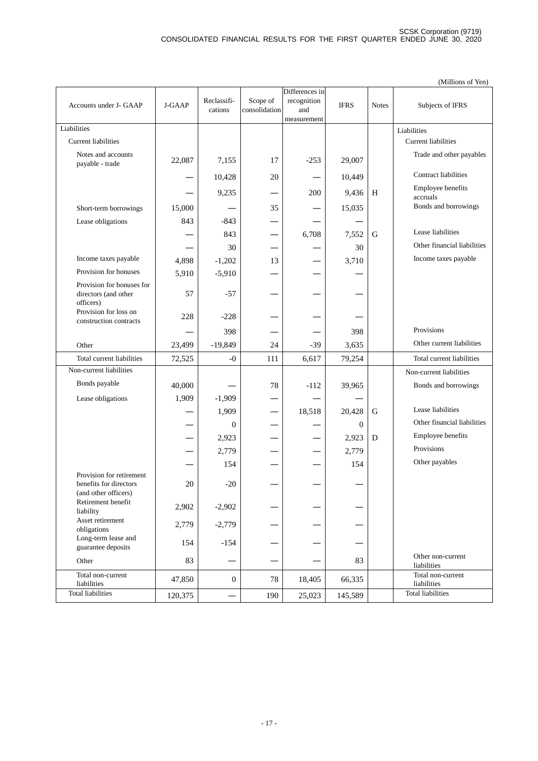|                                                                            |         |              |               |                    |             |              | (Millions of Yen)                |
|----------------------------------------------------------------------------|---------|--------------|---------------|--------------------|-------------|--------------|----------------------------------|
|                                                                            |         |              |               | Differences in     |             |              |                                  |
| Accounts under J- GAAP                                                     | J-GAAP  | Reclassifi-  | Scope of      | recognition        | <b>IFRS</b> | <b>Notes</b> | Subjects of IFRS                 |
|                                                                            |         | cations      | consolidation | and<br>measurement |             |              |                                  |
| Liabilities                                                                |         |              |               |                    |             |              | Liabilities                      |
| <b>Current liabilities</b>                                                 |         |              |               |                    |             |              | <b>Current liabilities</b>       |
|                                                                            |         |              |               |                    |             |              |                                  |
| Notes and accounts<br>payable - trade                                      | 22,087  | 7,155        | 17            | $-253$             | 29,007      |              | Trade and other payables         |
|                                                                            |         | 10,428       | 20            |                    | 10,449      |              | <b>Contract liabilities</b>      |
|                                                                            |         | 9,235        |               | 200                | 9,436       | H            | Employee benefits<br>accruals    |
| Short-term borrowings                                                      | 15,000  |              | 35            |                    | 15,035      |              | Bonds and borrowings             |
| Lease obligations                                                          | 843     | $-843$       |               |                    |             |              |                                  |
|                                                                            |         | 843          |               | 6,708              | 7,552       | G            | Lease liabilities                |
|                                                                            |         | 30           |               |                    | 30          |              | Other financial liabilities      |
| Income taxes payable                                                       | 4,898   | $-1,202$     | 13            |                    | 3,710       |              | Income taxes payable             |
| Provision for bonuses                                                      |         |              |               |                    |             |              |                                  |
| Provision for bonuses for                                                  | 5,910   | $-5,910$     |               |                    |             |              |                                  |
| directors (and other<br>officers)                                          | 57      | $-57$        |               |                    |             |              |                                  |
| Provision for loss on<br>construction contracts                            | 228     | $-228$       |               |                    |             |              |                                  |
|                                                                            |         | 398          |               |                    | 398         |              | Provisions                       |
| Other                                                                      | 23,499  | $-19,849$    | 24            | $-39$              | 3,635       |              | Other current liabilities        |
| Total current liabilities                                                  | 72,525  | $-0$         | 111           | 6,617              | 79,254      |              | Total current liabilities        |
| Non-current liabilities                                                    |         |              |               |                    |             |              | Non-current liabilities          |
| Bonds payable                                                              | 40,000  |              | 78            | $-112$             | 39,965      |              | Bonds and borrowings             |
| Lease obligations                                                          | 1,909   | $-1,909$     |               |                    |             |              |                                  |
|                                                                            |         | 1,909        |               | 18,518             | 20,428      | G            | Lease liabilities                |
|                                                                            |         | $\Omega$     |               |                    | $\theta$    |              | Other financial liabilities      |
|                                                                            |         |              |               |                    |             | D            | Employee benefits                |
|                                                                            |         | 2,923        |               |                    | 2,923       |              | Provisions                       |
|                                                                            |         | 2,779        |               |                    | 2,779       |              |                                  |
|                                                                            |         | 154          |               |                    | 154         |              | Other payables                   |
| Provision for retirement<br>benefits for directors<br>(and other officers) | 20      | $-20$        |               |                    |             |              |                                  |
| Retirement benefit<br>liability                                            | 2,902   | $-2,902$     |               |                    |             |              |                                  |
| Asset retirement<br>obligations                                            | 2,779   | $-2,779$     |               |                    |             |              |                                  |
| Long-term lease and<br>guarantee deposits                                  | 154     | $-154$       |               |                    |             |              |                                  |
| Other                                                                      | 83      |              |               |                    | 83          |              | Other non-current<br>liabilities |
| Total non-current<br>liabilities                                           | 47,850  | $\mathbf{0}$ | 78            | 18,405             | 66,335      |              | Total non-current<br>liabilities |
| <b>Total liabilities</b>                                                   | 120,375 |              | 190           | 25,023             | 145,589     |              | <b>Total liabilities</b>         |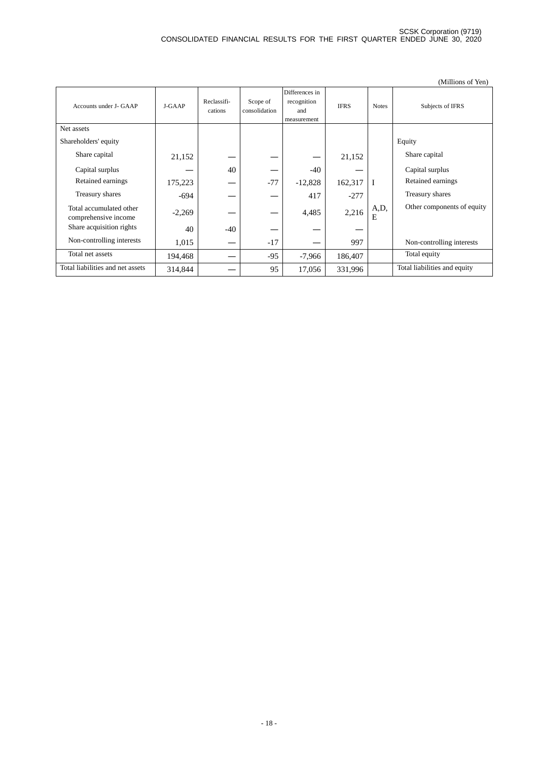|                                                 |          |                        |                           |                                                     |             |              | (Millions of Yen)            |
|-------------------------------------------------|----------|------------------------|---------------------------|-----------------------------------------------------|-------------|--------------|------------------------------|
| Accounts under J- GAAP                          | J-GAAP   | Reclassifi-<br>cations | Scope of<br>consolidation | Differences in<br>recognition<br>and<br>measurement | <b>IFRS</b> | <b>Notes</b> | Subjects of IFRS             |
| Net assets                                      |          |                        |                           |                                                     |             |              |                              |
| Shareholders' equity                            |          |                        |                           |                                                     |             |              | Equity                       |
| Share capital                                   | 21,152   |                        |                           |                                                     | 21,152      |              | Share capital                |
| Capital surplus                                 |          | 40                     |                           | $-40$                                               |             |              | Capital surplus              |
| Retained earnings                               | 175,223  |                        | $-77$                     | $-12,828$                                           | 162,317     | $\mathbf I$  | Retained earnings            |
| Treasury shares                                 | $-694$   |                        |                           | 417                                                 | $-277$      |              | Treasury shares              |
| Total accumulated other<br>comprehensive income | $-2,269$ |                        |                           | 4,485                                               | 2,216       | A,D,<br>Е    | Other components of equity   |
| Share acquisition rights                        | 40       | $-40$                  |                           |                                                     |             |              |                              |
| Non-controlling interests                       | 1,015    |                        | $-17$                     |                                                     | 997         |              | Non-controlling interests    |
| Total net assets                                | 194,468  |                        | $-95$                     | $-7,966$                                            | 186,407     |              | Total equity                 |
| Total liabilities and net assets                | 314,844  |                        | 95                        | 17,056                                              | 331,996     |              | Total liabilities and equity |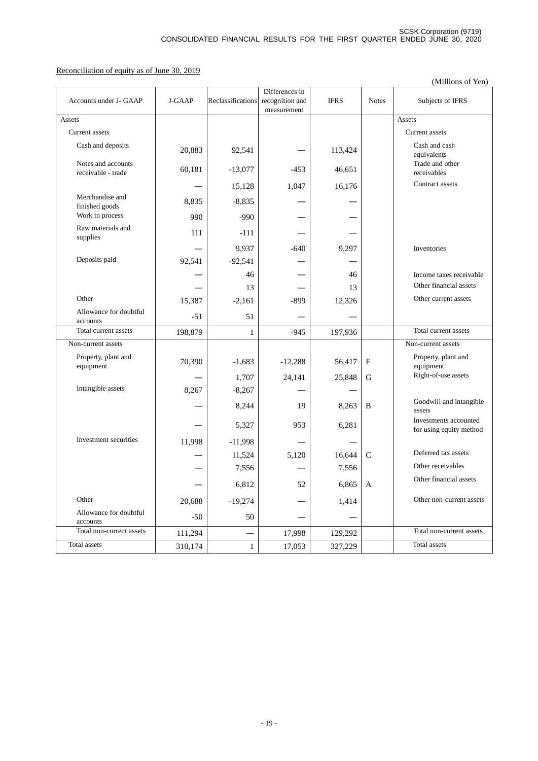Reconciliation of equity as of June 30, 2019

|                                          |         |                   |                                |             |                  | (Millions of Yen)                                |
|------------------------------------------|---------|-------------------|--------------------------------|-------------|------------------|--------------------------------------------------|
|                                          |         |                   | Differences in                 |             |                  |                                                  |
| Accounts under J- GAAP                   | J-GAAP  | Reclassifications | recognition and<br>measurement | <b>IFRS</b> | <b>Notes</b>     | Subjects of IFRS                                 |
| Assets                                   |         |                   |                                |             |                  | Assets                                           |
| Current assets                           |         |                   |                                |             |                  | Current assets                                   |
| Cash and deposits                        | 20,883  | 92,541            |                                | 113,424     |                  | Cash and cash<br>equivalents                     |
| Notes and accounts<br>receivable - trade | 60,181  | $-13,077$         | $-453$                         | 46,651      |                  | Trade and other<br>receivables                   |
|                                          |         | 15,128            | 1,047                          | 16,176      |                  | Contract assets                                  |
| Merchandise and<br>finished goods        | 8,835   | $-8,835$          |                                |             |                  |                                                  |
| Work in process                          | 990     | $-990$            |                                |             |                  |                                                  |
| Raw materials and<br>supplies            | 111     | $-111$            |                                |             |                  |                                                  |
|                                          |         | 9,937             | $-640$                         | 9,297       |                  | Inventories                                      |
| Deposits paid                            | 92,541  | $-92,541$         |                                |             |                  |                                                  |
|                                          |         | 46                |                                | 46          |                  | Income taxes receivable                          |
|                                          |         | 13                |                                | 13          |                  | Other financial assets                           |
| Other                                    | 15,387  | $-2,161$          | $-899$                         | 12,326      |                  | Other current assets                             |
| Allowance for doubtful<br>accounts       | $-51$   | 51                |                                |             |                  |                                                  |
| Total current assets                     | 198,879 | 1                 | $-945$                         | 197,936     |                  | Total current assets                             |
| Non-current assets                       |         |                   |                                |             |                  | Non-current assets                               |
| Property, plant and<br>equipment         | 70,390  | $-1,683$          | $-12,288$                      | 56,417      | $_{\rm F}$       | Property, plant and<br>equipment                 |
|                                          |         | 1,707             | 24,141                         | 25,848      | G                | Right-of-use assets                              |
| Intangible assets                        | 8,267   | $-8,267$          |                                |             |                  |                                                  |
|                                          |         | 8,244             | 19                             | 8,263       | B                | Goodwill and intangible<br>assets                |
|                                          |         | 5,327             | 953                            | 6,281       |                  | Investments accounted<br>for using equity method |
| Investment securities                    | 11,998  | $-11,998$         |                                |             |                  |                                                  |
|                                          |         | 11,524            | 5,120                          | 16,644      | $\mathbf C$      | Deferred tax assets                              |
|                                          |         | 7,556             |                                | 7,556       |                  | Other receivables                                |
|                                          |         | 6,812             | 52                             | 6,865       | $\boldsymbol{A}$ | Other financial assets                           |
| Other                                    | 20,688  | $-19,274$         |                                | 1,414       |                  | Other non-current assets                         |
| Allowance for doubtful<br>accounts       | $-50$   | 50                |                                |             |                  |                                                  |
| Total non-current assets                 | 111,294 |                   | 17,998                         | 129,292     |                  | Total non-current assets                         |
| Total assets                             | 310,174 | $\mathbf{1}$      | 17,053                         | 327,229     |                  | Total assets                                     |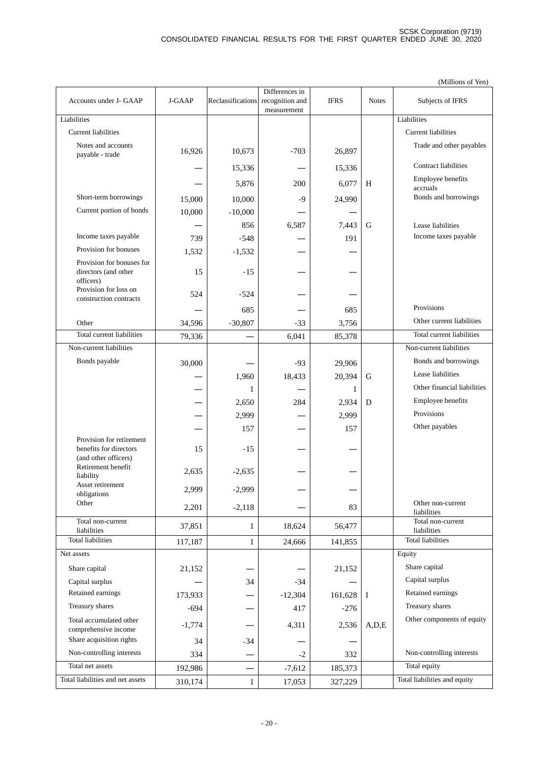|                                                 |          |                   |                                                  |             |              | (Millions of Yen)                |
|-------------------------------------------------|----------|-------------------|--------------------------------------------------|-------------|--------------|----------------------------------|
| Accounts under J- GAAP                          | J-GAAP   | Reclassifications | Differences in<br>recognition and<br>measurement | <b>IFRS</b> | <b>Notes</b> | Subjects of IFRS                 |
| Liabilities                                     |          |                   |                                                  |             |              | Liabilities                      |
| <b>Current liabilities</b>                      |          |                   |                                                  |             |              | <b>Current liabilities</b>       |
| Notes and accounts                              |          |                   |                                                  |             |              | Trade and other payables         |
| payable - trade                                 | 16,926   | 10,673            | $-703$                                           | 26,897      |              |                                  |
|                                                 |          | 15,336            |                                                  | 15,336      |              | <b>Contract liabilities</b>      |
|                                                 |          | 5,876             | 200                                              | 6,077       | H            | Employee benefits<br>accruals    |
| Short-term borrowings                           | 15,000   | 10,000            | $-9$                                             | 24,990      |              | Bonds and borrowings             |
| Current portion of bonds                        | 10,000   | $-10,000$         |                                                  |             |              |                                  |
|                                                 |          | 856               | 6,587                                            | 7,443       | G            | Lease liabilities                |
| Income taxes payable                            | 739      | $-548$            |                                                  | 191         |              | Income taxes payable             |
| Provision for bonuses                           | 1,532    | $-1,532$          |                                                  |             |              |                                  |
| Provision for bonuses for                       |          |                   |                                                  |             |              |                                  |
| directors (and other                            | 15       | $-15$             |                                                  |             |              |                                  |
| officers)<br>Provision for loss on              |          |                   |                                                  |             |              |                                  |
| construction contracts                          | 524      | $-524$            |                                                  |             |              |                                  |
|                                                 |          | 685               |                                                  | 685         |              | Provisions                       |
| Other                                           | 34,596   | $-30,807$         | $-33$                                            | 3,756       |              | Other current liabilities        |
| Total current liabilities                       | 79,336   |                   | 6,041                                            | 85,378      |              | Total current liabilities        |
| Non-current liabilities                         |          |                   |                                                  |             |              | Non-current liabilities          |
| Bonds payable                                   | 30,000   |                   | $-93$                                            | 29,906      |              | Bonds and borrowings             |
|                                                 |          | 1,960             | 18,433                                           | 20,394      | G            | Lease liabilities                |
|                                                 |          | 1                 |                                                  | 1           |              | Other financial liabilities      |
|                                                 |          | 2,650             | 284                                              | 2,934       | D            | Employee benefits                |
|                                                 |          | 2,999             |                                                  | 2,999       |              | Provisions                       |
|                                                 |          | 157               |                                                  | 157         |              | Other payables                   |
| Provision for retirement                        |          |                   |                                                  |             |              |                                  |
| benefits for directors<br>(and other officers)  | 15       | $-15$             |                                                  |             |              |                                  |
| Retirement benefit                              | 2,635    | $-2,635$          |                                                  |             |              |                                  |
| liability<br>Asset retirement                   |          |                   |                                                  |             |              |                                  |
| obligations                                     | 2,999    | $-2,999$          |                                                  |             |              |                                  |
| Other                                           | 2,201    | $-2,118$          |                                                  | 83          |              | Other non-current<br>liabilities |
| Total non-current<br>liabilities                | 37,851   | 1                 | 18,624                                           | 56,477      |              | Total non-current<br>liabilities |
| <b>Total liabilities</b>                        | 117,187  | $\mathbf{1}$      | 24,666                                           | 141,855     |              | <b>Total liabilities</b>         |
| Net assets                                      |          |                   |                                                  |             |              | Equity                           |
| Share capital                                   | 21,152   |                   |                                                  | 21,152      |              | Share capital                    |
| Capital surplus                                 |          | 34                | $-34$                                            |             |              | Capital surplus                  |
| Retained earnings                               | 173,933  |                   | $-12,304$                                        | 161,628     | I            | Retained earnings                |
| Treasury shares                                 | $-694$   |                   | 417                                              | $-276$      |              | Treasury shares                  |
| Total accumulated other<br>comprehensive income | $-1,774$ |                   | 4,311                                            | 2,536       | A, D, E      | Other components of equity       |
| Share acquisition rights                        | 34       | $-34$             |                                                  |             |              |                                  |
| Non-controlling interests                       | 334      |                   | $-2$                                             | 332         |              | Non-controlling interests        |
| Total net assets                                | 192,986  |                   | $-7,612$                                         | 185,373     |              | Total equity                     |
| Total liabilities and net assets                | 310,174  | $\mathbf{1}$      | 17,053                                           | 327,229     |              | Total liabilities and equity     |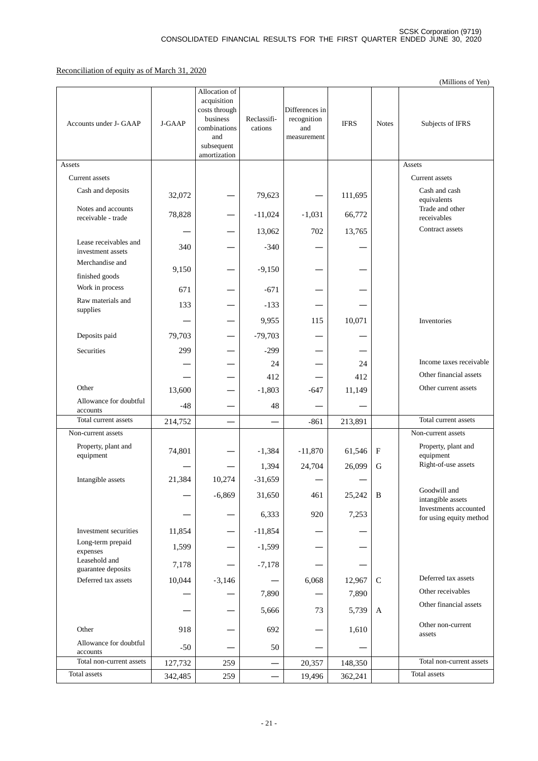### Reconciliation of equity as of March 31, 2020

|                                            |         |                                                                                                                |                        |                                                     |             |              | (Millions of Yen)                                |
|--------------------------------------------|---------|----------------------------------------------------------------------------------------------------------------|------------------------|-----------------------------------------------------|-------------|--------------|--------------------------------------------------|
| Accounts under J- GAAP                     | J-GAAP  | Allocation of<br>acquisition<br>costs through<br>business<br>combinations<br>and<br>subsequent<br>amortization | Reclassifi-<br>cations | Differences in<br>recognition<br>and<br>measurement | <b>IFRS</b> | <b>Notes</b> | Subjects of IFRS                                 |
| Assets                                     |         |                                                                                                                |                        |                                                     |             |              | Assets                                           |
| Current assets                             |         |                                                                                                                |                        |                                                     |             |              | Current assets                                   |
| Cash and deposits                          | 32,072  |                                                                                                                | 79,623                 |                                                     | 111,695     |              | Cash and cash<br>equivalents                     |
| Notes and accounts<br>receivable - trade   | 78,828  |                                                                                                                | $-11,024$              | $-1,031$                                            | 66,772      |              | Trade and other<br>receivables                   |
|                                            |         |                                                                                                                | 13,062                 | 702                                                 | 13,765      |              | Contract assets                                  |
| Lease receivables and<br>investment assets | 340     |                                                                                                                | $-340$                 |                                                     |             |              |                                                  |
| Merchandise and<br>finished goods          | 9,150   |                                                                                                                | $-9,150$               |                                                     |             |              |                                                  |
| Work in process                            | 671     |                                                                                                                | $-671$                 |                                                     |             |              |                                                  |
| Raw materials and<br>supplies              | 133     |                                                                                                                | $-133$                 |                                                     |             |              |                                                  |
|                                            |         |                                                                                                                | 9,955                  | 115                                                 | 10,071      |              | Inventories                                      |
| Deposits paid                              | 79,703  |                                                                                                                | $-79,703$              |                                                     |             |              |                                                  |
| <b>Securities</b>                          | 299     |                                                                                                                | $-299$                 |                                                     |             |              |                                                  |
|                                            |         |                                                                                                                | 24                     |                                                     | 24          |              | Income taxes receivable                          |
|                                            |         |                                                                                                                | 412                    |                                                     | 412         |              | Other financial assets                           |
| Other                                      | 13,600  |                                                                                                                | $-1,803$               | $-647$                                              | 11,149      |              | Other current assets                             |
| Allowance for doubtful<br>accounts         | $-48$   |                                                                                                                | 48                     |                                                     |             |              |                                                  |
| Total current assets                       | 214,752 |                                                                                                                |                        | $-861$                                              | 213,891     |              | Total current assets                             |
| Non-current assets                         |         |                                                                                                                |                        |                                                     |             |              | Non-current assets                               |
| Property, plant and<br>equipment           | 74,801  |                                                                                                                | $-1,384$               | $-11,870$                                           | 61,546      | ${\rm F}$    | Property, plant and<br>equipment                 |
|                                            |         |                                                                                                                | 1,394                  | 24,704                                              | 26,099      | $\mathbf G$  | Right-of-use assets                              |
| Intangible assets                          | 21,384  | 10,274                                                                                                         | $-31,659$              |                                                     |             |              |                                                  |
|                                            |         | $-6,869$                                                                                                       | 31,650                 | 461                                                 | 25,242      | $\, {\bf B}$ | Goodwill and<br>intangible assets                |
|                                            |         |                                                                                                                | 6,333                  | 920                                                 | 7,253       |              | Investments accounted<br>for using equity method |
| Investment securities                      | 11,854  |                                                                                                                | $-11,854$              |                                                     |             |              |                                                  |
| Long-term prepaid<br>expenses              | 1,599   |                                                                                                                | $-1,599$               |                                                     |             |              |                                                  |
| Leasehold and<br>guarantee deposits        | 7,178   |                                                                                                                | $-7,178$               |                                                     |             |              |                                                  |
| Deferred tax assets                        | 10,044  | $-3,146$                                                                                                       |                        | 6,068                                               | 12,967      | $\mathbf C$  | Deferred tax assets                              |
|                                            |         |                                                                                                                | 7,890                  |                                                     | 7,890       |              | Other receivables                                |
|                                            |         |                                                                                                                | 5,666                  | 73                                                  | 5,739       | A            | Other financial assets                           |
| Other                                      | 918     |                                                                                                                | 692                    |                                                     | 1,610       |              | Other non-current<br>assets                      |
| Allowance for doubtful<br>accounts         | $-50$   |                                                                                                                | 50                     |                                                     |             |              |                                                  |
| Total non-current assets                   | 127,732 | 259                                                                                                            |                        | 20,357                                              | 148,350     |              | Total non-current assets                         |
| Total assets                               | 342,485 | 259                                                                                                            |                        | 19,496                                              | 362,241     |              | Total assets                                     |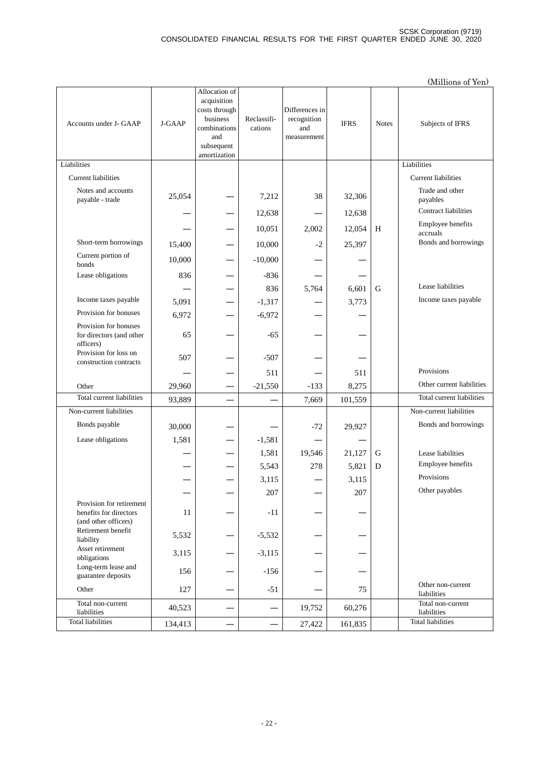|                                                                            |         |                                                                                                                |                        |                                                     |             |              | (Millions of Yen)                |
|----------------------------------------------------------------------------|---------|----------------------------------------------------------------------------------------------------------------|------------------------|-----------------------------------------------------|-------------|--------------|----------------------------------|
| Accounts under J- GAAP                                                     | J-GAAP  | Allocation of<br>acquisition<br>costs through<br>business<br>combinations<br>and<br>subsequent<br>amortization | Reclassifi-<br>cations | Differences in<br>recognition<br>and<br>measurement | <b>IFRS</b> | <b>Notes</b> | Subjects of IFRS                 |
| Liabilities                                                                |         |                                                                                                                |                        |                                                     |             |              | Liabilities                      |
| <b>Current liabilities</b>                                                 |         |                                                                                                                |                        |                                                     |             |              | <b>Current liabilities</b>       |
| Notes and accounts<br>payable - trade                                      | 25,054  |                                                                                                                | 7,212                  | 38                                                  | 32,306      |              | Trade and other<br>payables      |
|                                                                            |         |                                                                                                                | 12,638                 |                                                     | 12,638      |              | <b>Contract liabilities</b>      |
|                                                                            |         |                                                                                                                | 10,051                 | 2,002                                               | 12,054      | H            | Employee benefits<br>accruals    |
| Short-term borrowings                                                      | 15,400  |                                                                                                                | 10,000                 | $-2$                                                | 25,397      |              | Bonds and borrowings             |
| Current portion of<br>bonds                                                | 10,000  |                                                                                                                | $-10,000$              |                                                     |             |              |                                  |
| Lease obligations                                                          | 836     |                                                                                                                | $-836$                 |                                                     |             |              |                                  |
|                                                                            |         |                                                                                                                | 836                    | 5,764                                               | 6,601       | G            | Lease liabilities                |
| Income taxes payable                                                       | 5,091   |                                                                                                                | $-1,317$               |                                                     | 3,773       |              | Income taxes payable             |
| Provision for bonuses                                                      | 6,972   |                                                                                                                | $-6,972$               |                                                     |             |              |                                  |
| Provision for bonuses<br>for directors (and other<br>officers)             | 65      |                                                                                                                | $-65$                  |                                                     |             |              |                                  |
| Provision for loss on<br>construction contracts                            | 507     |                                                                                                                | $-507$                 |                                                     |             |              |                                  |
|                                                                            |         |                                                                                                                | 511                    |                                                     | 511         |              | Provisions                       |
| Other                                                                      | 29,960  |                                                                                                                | $-21,550$              | $-133$                                              | 8,275       |              | Other current liabilities        |
| Total current liabilities                                                  | 93,889  |                                                                                                                |                        | 7,669                                               | 101,559     |              | Total current liabilities        |
| Non-current liabilities                                                    |         |                                                                                                                |                        |                                                     |             |              | Non-current liabilities          |
| Bonds payable                                                              | 30,000  |                                                                                                                |                        | $-72$                                               | 29,927      |              | Bonds and borrowings             |
| Lease obligations                                                          | 1,581   |                                                                                                                | $-1,581$               |                                                     |             |              |                                  |
|                                                                            |         |                                                                                                                | 1,581                  | 19,546                                              | 21,127      | G            | Lease liabilities                |
|                                                                            |         |                                                                                                                | 5,543                  | 278                                                 | 5,821       | ${\bf D}$    | Employee benefits                |
|                                                                            |         |                                                                                                                | 3,115                  |                                                     | 3,115       |              | Provisions                       |
|                                                                            |         |                                                                                                                | 207                    |                                                     | 207         |              | Other payables                   |
| Provision for retirement<br>benefits for directors<br>(and other officers) | 11      |                                                                                                                | $-11$                  |                                                     |             |              |                                  |
| Retirement benefit<br>liability                                            | 5,532   |                                                                                                                | $-5,532$               |                                                     |             |              |                                  |
| Asset retirement<br>obligations                                            | 3,115   |                                                                                                                | $-3,115$               |                                                     |             |              |                                  |
| Long-term lease and<br>guarantee deposits                                  | 156     |                                                                                                                | $-156$                 |                                                     |             |              |                                  |
| Other                                                                      | 127     |                                                                                                                | $-51$                  |                                                     | 75          |              | Other non-current<br>liabilities |
| Total non-current<br>liabilities                                           | 40,523  |                                                                                                                |                        | 19,752                                              | 60,276      |              | Total non-current<br>liabilities |
| <b>Total liabilities</b>                                                   | 134,413 |                                                                                                                |                        | 27,422                                              | 161,835     |              | <b>Total liabilities</b>         |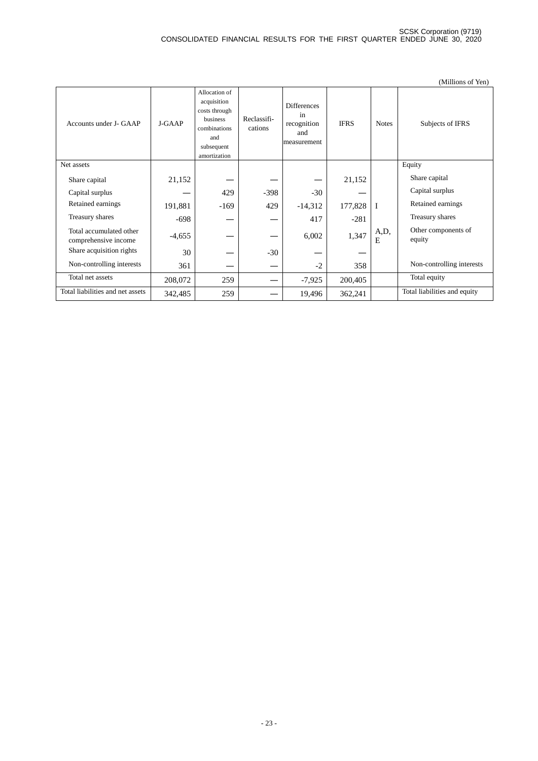|                                                 |          |                                                                                                                |                        |                                                               |             |              | (Millions of Yen)             |
|-------------------------------------------------|----------|----------------------------------------------------------------------------------------------------------------|------------------------|---------------------------------------------------------------|-------------|--------------|-------------------------------|
| Accounts under J- GAAP                          | J-GAAP   | Allocation of<br>acquisition<br>costs through<br>business<br>combinations<br>and<br>subsequent<br>amortization | Reclassifi-<br>cations | <b>Differences</b><br>in<br>recognition<br>and<br>measurement | <b>IFRS</b> | <b>Notes</b> | Subjects of IFRS              |
| Net assets                                      |          |                                                                                                                |                        |                                                               |             |              | Equity                        |
| Share capital                                   | 21,152   |                                                                                                                |                        |                                                               | 21,152      |              | Share capital                 |
| Capital surplus                                 |          | 429                                                                                                            | $-398$                 | $-30$                                                         |             |              | Capital surplus               |
| Retained earnings                               | 191,881  | $-169$                                                                                                         | 429                    | $-14,312$                                                     | 177,828     | $\mathbf I$  | Retained earnings             |
| Treasury shares                                 | $-698$   |                                                                                                                |                        | 417                                                           | $-281$      |              | Treasury shares               |
| Total accumulated other<br>comprehensive income | $-4,655$ |                                                                                                                |                        | 6,002                                                         | 1,347       | A,D,<br>E    | Other components of<br>equity |
| Share acquisition rights                        | 30       |                                                                                                                | $-30$                  |                                                               |             |              |                               |
| Non-controlling interests                       | 361      |                                                                                                                |                        | $-2$                                                          | 358         |              | Non-controlling interests     |
| Total net assets                                | 208,072  | 259                                                                                                            |                        | $-7,925$                                                      | 200,405     |              | Total equity                  |
| Total liabilities and net assets                | 342,485  | 259                                                                                                            |                        | 19,496                                                        | 362,241     |              | Total liabilities and equity  |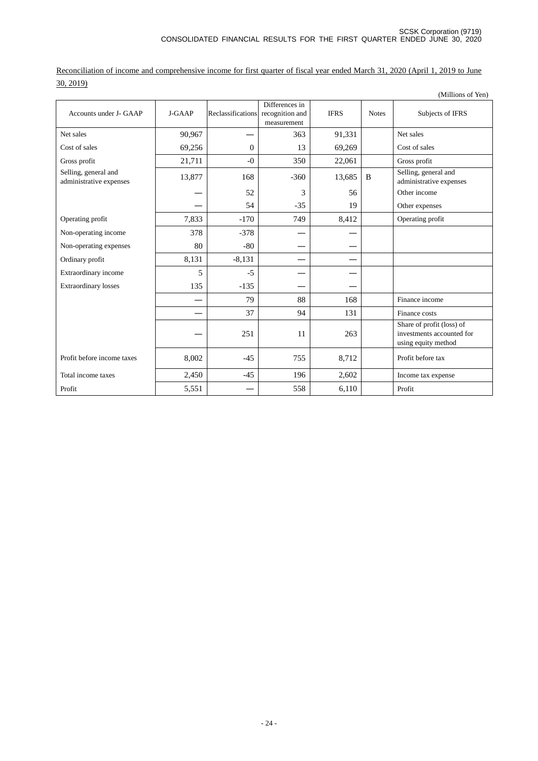(Millions of Yen) Accounts under J-GAAP J-GAAP Reclassifications Differences in recognition and measurement IFRS Notes Subjects of IFRS Net sales  $90,967$  — 363 91,331 Net sales Cost of sales 69,256 0 13 69,269 Cost of sales Gross profit  $21,711$  -0  $350$   $22,061$  Gross profit Selling, general and<br>administrative expenses Selling, general and<br>
administrative expenses **13,877** 168 -360 13,685 B Selling, general and administrative expenses 52 3 56 Other income 54 -35 19 Other expenses Operating profit 7,833 -170 749 8,412 Operating profit Non-operating income 378 -378 Non-operating expenses and 80 and 80  $-80$ Ordinary profit  $\begin{array}{|c|c|c|c|c|c|c|c|c|} \hline \text{0.131} & & -8,131 & & & -1 & & -1 \ \hline \end{array}$ Extraordinary income 5 -5 ― ― Extraordinary losses  $135$   $-135$   $-$  79  $88$  168 Finance income  $-$  37 94 131 Finance costs ― 251 11 263 Share of profit (loss) of investments accounted for using equity method Profit before income taxes 8,002 -45 755 8,712 Profit before tax

Total income taxes  $2,450$   $-45$   $196$   $2,602$  Income tax expense

Profit 5,551 ― 558 6,110 Profit

Reconciliation of income and comprehensive income for first quarter of fiscal year ended March 31, 2020 (April 1, 2019 to June 30, 2019)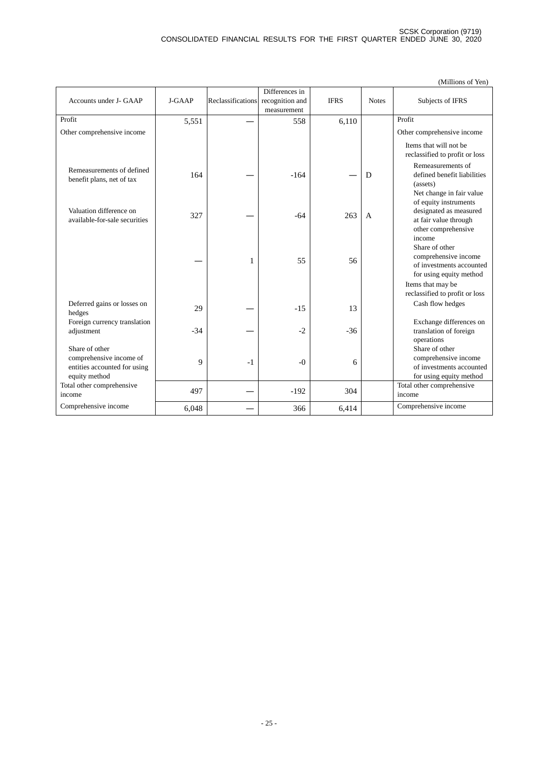|                                                                                            |        |                   |                                                  |             |              | (Millions of Yen)                                                                                                 |
|--------------------------------------------------------------------------------------------|--------|-------------------|--------------------------------------------------|-------------|--------------|-------------------------------------------------------------------------------------------------------------------|
| Accounts under J- GAAP                                                                     | J-GAAP | Reclassifications | Differences in<br>recognition and<br>measurement | <b>IFRS</b> | <b>Notes</b> | Subjects of IFRS                                                                                                  |
| Profit                                                                                     | 5,551  |                   | 558                                              | 6,110       |              | Profit                                                                                                            |
| Other comprehensive income                                                                 |        |                   |                                                  |             |              | Other comprehensive income                                                                                        |
|                                                                                            |        |                   |                                                  |             |              | Items that will not be<br>reclassified to profit or loss                                                          |
| Remeasurements of defined<br>benefit plans, net of tax                                     | 164    |                   | $-164$                                           |             | D            | Remeasurements of<br>defined benefit liabilities<br>(assets)<br>Net change in fair value<br>of equity instruments |
| Valuation difference on<br>available-for-sale securities                                   | 327    |                   | $-64$                                            | 263         | $\mathsf{A}$ | designated as measured<br>at fair value through<br>other comprehensive                                            |
|                                                                                            |        | 1                 | 55                                               | 56          |              | income<br>Share of other<br>comprehensive income<br>of investments accounted<br>for using equity method           |
|                                                                                            |        |                   |                                                  |             |              | Items that may be                                                                                                 |
| Deferred gains or losses on                                                                | 29     |                   | $-15$                                            | 13          |              | reclassified to profit or loss<br>Cash flow hedges                                                                |
| hedges<br>Foreign currency translation<br>adjustment                                       | $-34$  |                   | $-2$                                             | $-36$       |              | Exchange differences on<br>translation of foreign<br>operations                                                   |
| Share of other<br>comprehensive income of<br>entities accounted for using<br>equity method | 9      | $-1$              | $-0$                                             | 6           |              | Share of other<br>comprehensive income<br>of investments accounted<br>for using equity method                     |
| Total other comprehensive<br>income                                                        | 497    |                   | $-192$                                           | 304         |              | Total other comprehensive<br>income                                                                               |
| Comprehensive income                                                                       | 6,048  |                   | 366                                              | 6,414       |              | Comprehensive income                                                                                              |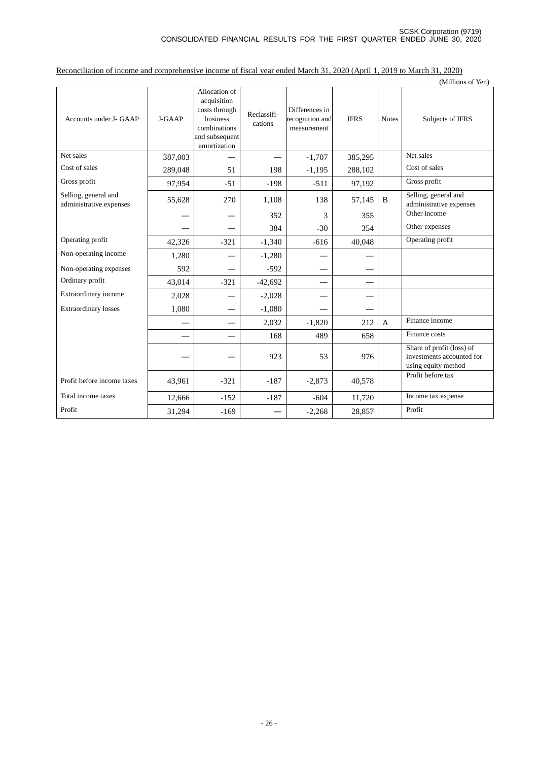(Millions of Yen) Accounts under J- GAAP J-GAAP Allocation of acquisition costs through business combinations and subsequent amortization Reclassifications Differences in recognition and measurement IFRS Notes Subjects of IFRS Net sales 387,003 ― ― -1,707 385,295 Net sales Cost of sales 289,048 51 198 -1,195 288,102 Cost of sales Gross profit 97,954 -51 -198 -511 97,192 Gross profit Selling, general and<br>administrative expenses administrative expenses 55,628 <sup>270</sup> 1,108 <sup>138</sup> 57,145 <sup>B</sup> Selling, general and administrative expenses  $-$  352  $3$  355 Other income  $-$  384  $-30$  354 Other expenses Operating profit 42,326 -321 -1,340 -616 40,048 Operating profit Non-operating income  $\boxed{1,280}$  —  $\boxed{-1,280}$ Non-operating expenses  $\begin{array}{|c|c|c|c|c|}\n\hline\n\text{592} & \text{---} & \text{-592} \\
\hline\n\text{Ordinary profit} & 43.014 & -321 & -42.692 \\
\hline\n\end{array}$ Ordinary profit  $43,014$   $-321$   $-42,692$  — — Extraordinary income  $2,028$  —  $-$  -2,028 Extraordinary losses  $1,080$  —  $-1,080$ —  $2,032$   $-1,820$   $212$  A Finance income —  $-$  168 489 658 Finance costs —  $-$  923 53 976 Share of profit (loss) of investments accounted for using equity method Profit before income taxes  $\begin{vmatrix} 43,961 & -321 & -187 & -2,873 & 40,578 \end{vmatrix}$ Profit before tax Total income taxes 12,666 -152 -187 -604 11,720 Income tax expense Profit  $31,294$  -169 — -2,268 28,857 Profit

Reconciliation of income and comprehensive income of fiscal year ended March 31, 2020 (April 1, 2019 to March 31, 2020)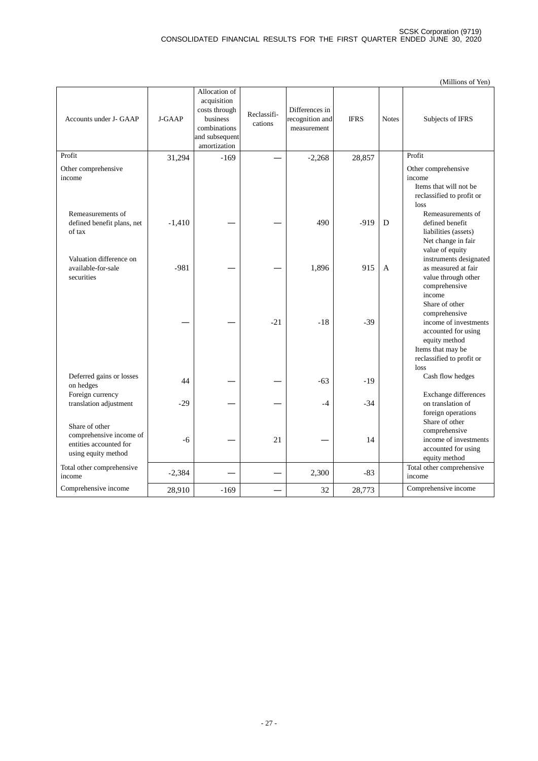|                                                                                            |          |                                                                                                             |                        |                                                  |             |              | (Millions of Yen)                                                                                                                                          |
|--------------------------------------------------------------------------------------------|----------|-------------------------------------------------------------------------------------------------------------|------------------------|--------------------------------------------------|-------------|--------------|------------------------------------------------------------------------------------------------------------------------------------------------------------|
| Accounts under J- GAAP                                                                     | J-GAAP   | Allocation of<br>acquisition<br>costs through<br>business<br>combinations<br>and subsequent<br>amortization | Reclassifi-<br>cations | Differences in<br>recognition and<br>measurement | <b>IFRS</b> | <b>Notes</b> | Subjects of IFRS                                                                                                                                           |
| Profit                                                                                     | 31,294   | $-169$                                                                                                      |                        | $-2,268$                                         | 28,857      |              | Profit                                                                                                                                                     |
| Other comprehensive<br>income                                                              |          |                                                                                                             |                        |                                                  |             |              | Other comprehensive<br>income<br>Items that will not be<br>reclassified to profit or<br>loss                                                               |
| Remeasurements of<br>defined benefit plans, net<br>of tax                                  | $-1,410$ |                                                                                                             |                        | 490                                              | $-919$      | D            | Remeasurements of<br>defined benefit<br>liabilities (assets)<br>Net change in fair<br>value of equity                                                      |
| Valuation difference on<br>available-for-sale<br>securities                                | $-981$   |                                                                                                             |                        | 1,896                                            | 915         | $\mathsf{A}$ | instruments designated<br>as measured at fair<br>value through other<br>comprehensive<br>income                                                            |
|                                                                                            |          |                                                                                                             | $-21$                  | $-18$                                            | $-39$       |              | Share of other<br>comprehensive<br>income of investments<br>accounted for using<br>equity method<br>Items that may be<br>reclassified to profit or<br>loss |
| Deferred gains or losses<br>on hedges                                                      | 44       |                                                                                                             |                        | $-63$                                            | $-19$       |              | Cash flow hedges                                                                                                                                           |
| Foreign currency<br>translation adjustment                                                 | $-29$    |                                                                                                             |                        | $-4$                                             | $-34$       |              | Exchange differences<br>on translation of<br>foreign operations                                                                                            |
| Share of other<br>comprehensive income of<br>entities accounted for<br>using equity method | $-6$     |                                                                                                             | 21                     |                                                  | 14          |              | Share of other<br>comprehensive<br>income of investments<br>accounted for using<br>equity method                                                           |
| Total other comprehensive<br>income                                                        | $-2,384$ |                                                                                                             |                        | 2,300                                            | $-83$       |              | Total other comprehensive<br>income                                                                                                                        |
| Comprehensive income                                                                       | 28,910   | $-169$                                                                                                      |                        | 32                                               | 28,773      |              | Comprehensive income                                                                                                                                       |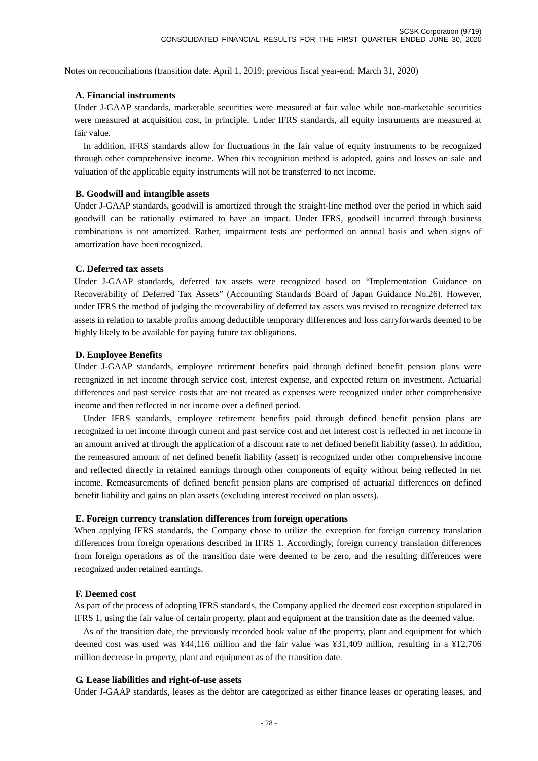#### Notes on reconciliations (transition date: April 1, 2019; previous fiscal year-end: March 31, 2020)

#### **A. Financial instruments**

Under J-GAAP standards, marketable securities were measured at fair value while non-marketable securities were measured at acquisition cost, in principle. Under IFRS standards, all equity instruments are measured at fair value.

In addition, IFRS standards allow for fluctuations in the fair value of equity instruments to be recognized through other comprehensive income. When this recognition method is adopted, gains and losses on sale and valuation of the applicable equity instruments will not be transferred to net income.

#### **B. Goodwill and intangible assets**

Under J-GAAP standards, goodwill is amortized through the straight-line method over the period in which said goodwill can be rationally estimated to have an impact. Under IFRS, goodwill incurred through business combinations is not amortized. Rather, impairment tests are performed on annual basis and when signs of amortization have been recognized.

#### **C. Deferred tax assets**

Under J-GAAP standards, deferred tax assets were recognized based on "Implementation Guidance on Recoverability of Deferred Tax Assets" (Accounting Standards Board of Japan Guidance No.26). However, under IFRS the method of judging the recoverability of deferred tax assets was revised to recognize deferred tax assets in relation to taxable profits among deductible temporary differences and loss carryforwards deemed to be highly likely to be available for paying future tax obligations.

#### **D. Employee Benefits**

Under J-GAAP standards, employee retirement benefits paid through defined benefit pension plans were recognized in net income through service cost, interest expense, and expected return on investment. Actuarial differences and past service costs that are not treated as expenses were recognized under other comprehensive income and then reflected in net income over a defined period.

Under IFRS standards, employee retirement benefits paid through defined benefit pension plans are recognized in net income through current and past service cost and net interest cost is reflected in net income in an amount arrived at through the application of a discount rate to net defined benefit liability (asset). In addition, the remeasured amount of net defined benefit liability (asset) is recognized under other comprehensive income and reflected directly in retained earnings through other components of equity without being reflected in net income. Remeasurements of defined benefit pension plans are comprised of actuarial differences on defined benefit liability and gains on plan assets (excluding interest received on plan assets).

#### **E. Foreign currency translation differences from foreign operations**

When applying IFRS standards, the Company chose to utilize the exception for foreign currency translation differences from foreign operations described in IFRS 1. Accordingly, foreign currency translation differences from foreign operations as of the transition date were deemed to be zero, and the resulting differences were recognized under retained earnings.

#### **F. Deemed cost**

As part of the process of adopting IFRS standards, the Company applied the deemed cost exception stipulated in IFRS 1, using the fair value of certain property, plant and equipment at the transition date as the deemed value.

As of the transition date, the previously recorded book value of the property, plant and equipment for which deemed cost was used was ¥44,116 million and the fair value was ¥31,409 million, resulting in a ¥12,706 million decrease in property, plant and equipment as of the transition date.

#### **G. Lease liabilities and right-of-use assets**

Under J-GAAP standards, leases as the debtor are categorized as either finance leases or operating leases, and